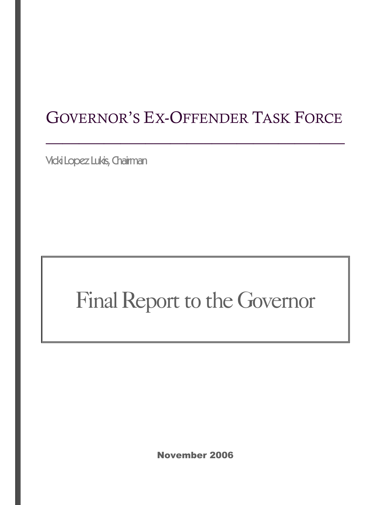# GOVERNOR'S EX-OFFENDER TASK FORCE

 $\frac{1}{2}$  ,  $\frac{1}{2}$  ,  $\frac{1}{2}$  ,  $\frac{1}{2}$  ,  $\frac{1}{2}$  ,  $\frac{1}{2}$  ,  $\frac{1}{2}$  ,  $\frac{1}{2}$  ,  $\frac{1}{2}$  ,  $\frac{1}{2}$  ,  $\frac{1}{2}$  ,  $\frac{1}{2}$  ,  $\frac{1}{2}$  ,  $\frac{1}{2}$  ,  $\frac{1}{2}$  ,  $\frac{1}{2}$  ,  $\frac{1}{2}$  ,  $\frac{1}{2}$  ,  $\frac{1$ 

Vicki Lopez Lukis, Chairman

# Final Report to the Governor

November 2006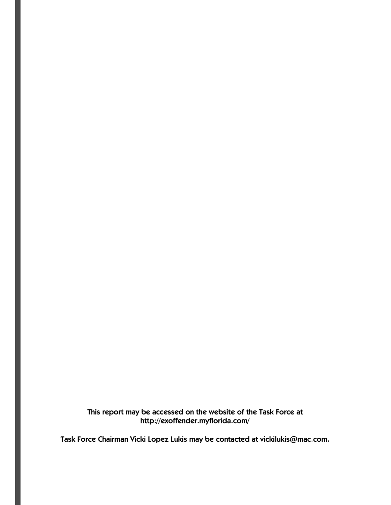This report may be accessed on the website of the Task Force at http://exoffender.myflorida.com/

Task Force Chairman Vicki Lopez Lukis may be contacted at vickilukis@mac.com.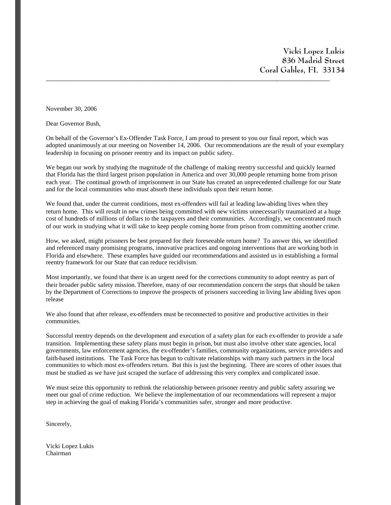**Vicki Lopez Lukis 836 Madrid Street Coral Gables, FL 33134** \_\_\_\_\_\_\_\_\_\_\_\_\_\_\_\_\_\_\_\_\_\_\_\_\_\_\_\_\_\_\_\_\_\_\_\_\_\_\_\_\_\_\_\_\_\_\_\_\_\_\_\_\_\_\_\_\_\_\_\_\_\_\_\_\_\_\_\_\_\_\_\_\_\_\_\_\_\_\_\_\_

November 30, 2006

Dear Governor Bush,

On behalf of the Governor's Ex-Offender Task Force, I am proud to present to you our final report, which was adopted unanimously at our meeting on November 14, 2006. Our recommendations are the result of your exemplary leadership in focusing on prisoner reentry and its impact on public safety.

We began our work by studying the magnitude of the challenge of making reentry successful and quickly learned that Florida has the third largest prison population in America and over 30,000 people returning home from prison each year. The continual growth of imprisonment in our State has created an unprecedented challenge for our State and for the local communities who must absorb these individuals upon their return home.

We found that, under the current conditions, most ex-offenders will fail at leading law-abiding lives when they return home. This will result in new crimes being committed with new victims unnecessarily traumatized at a huge cost of hundreds of millions of dollars to the taxpayers and their communities. Accordingly, we concentrated much of our work in studying what it will take to keep people coming home from prison from committing another crime.

How, we asked, might prisoners be best prepared for their foreseeable return home? To answer this, we identified and referenced many promising programs, innovative practices and ongoing interventions that are working both in Florida and elsewhere. These examples have guided our recommendations and assisted us in establishing a formal reentry framework for our State that can reduce recidivism.

Most importantly, we found that there is an urgent need for the corrections community to adopt reentry as part of their broader public safety mission. Therefore, many of our recommendation concern the steps that should be taken by the Department of Corrections to improve the prospects of prisoners succeeding in living law abiding lives upon release

We also found that after release, ex-offenders must be reconnected to positive and productive activities in their communities.

Successful reentry depends on the development and execution of a safety plan for each ex-offender to provide a safe transition. Implementing these safety plans must begin in prison, but must also involve other state agencies, local governments, law enforcement agencies, the ex-offender's families, community organizations, service providers and faith-based institutions. The Task Force has begun to cultivate relationships with many such partners in the local communities to which most ex-offenders return. But this is just the beginning. There are scores of other issues that must be studied as we have just scraped the surface of addressing this very complex and complicated issue.

We must seize this opportunity to rethink the relationship between prisoner reentry and public safety assuring we meet our goal of crime reduction. We believe the implementation of our recommendations will represent a major step in achieving the goal of making Florida's communities safer, stronger and more productive.

Sincerely,

Vicki Lopez Lukis Chairman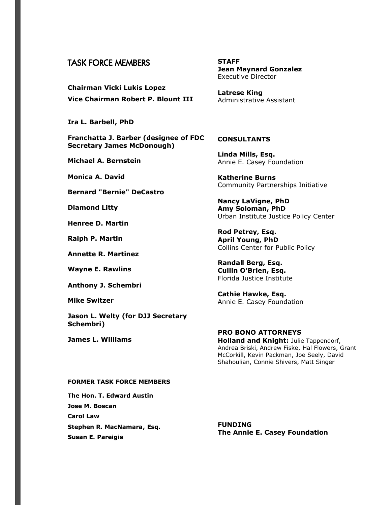### TASK FORCE MEMBERS

**Chairman Vicki Lukis Lopez Vice Chairman Robert P. Blount III**

**Ira L. Barbell, PhD**

**Franchatta J. Barber (designee of FDC Secretary James McDonough)**

**Michael A. Bernstein**

**Monica A. David**

**Bernard "Bernie" DeCastro**

**Diamond Litty**

**Henree D. Martin**

**Ralph P. Martin**

**Annette R. Martinez**

**Wayne E. Rawlins**

**Anthony J. Schembri**

**Mike Switzer**

**Jason L. Welty (for DJJ Secretary Schembri)**

**James L. Williams**

**STAFF Jean Maynard Gonzalez** Executive Director

**Latrese King** Administrative Assistant

#### **CONSULTANTS**

**Linda Mills, Esq.** Annie E. Casey Foundation

**Katherine Burns** Community Partnerships Initiative

**Nancy LaVigne, PhD Amy Soloman, PhD** Urban Institute Justice Policy Center

**Rod Petrey, Esq. April Young, PhD** Collins Center for Public Policy

**Randall Berg, Esq. Cullin O'Brien, Esq.** Florida Justice Institute

**Cathie Hawke, Esq.** Annie E. Casey Foundation

#### **PRO BONO ATTORNEYS Holland and Knight:** Julie Tappendorf, Andrea Briski, Andrew Fiske, Hal Flowers, Grant McCorkill, Kevin Packman, Joe Seely, David Shahoulian, Connie Shivers, Matt Singer

#### **FORMER TASK FORCE MEMBERS**

**The Hon. T. Edward Austin Jose M. Boscan Carol Law Stephen R. MacNamara, Esq. Susan E. Pareigis**

**FUNDING The Annie E. Casey Foundation**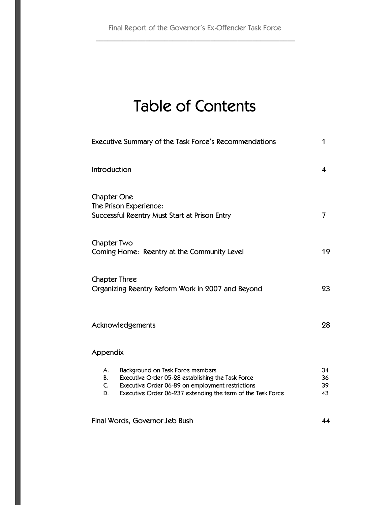# Table of Contents

| Executive Summary of the Task Force's Recommendations                                                                                                                                                                            |                      |  |
|----------------------------------------------------------------------------------------------------------------------------------------------------------------------------------------------------------------------------------|----------------------|--|
| Introduction                                                                                                                                                                                                                     | 4                    |  |
| <b>Chapter One</b><br>The Prison Experience:<br>Successful Reentry Must Start at Prison Entry                                                                                                                                    | 7                    |  |
| Chapter Two<br>Coming Home: Reentry at the Community Level                                                                                                                                                                       | 19                   |  |
| <b>Chapter Three</b><br>Organizing Reentry Reform Work in 2007 and Beyond                                                                                                                                                        | 23                   |  |
| Acknowledgements                                                                                                                                                                                                                 |                      |  |
| Appendix                                                                                                                                                                                                                         |                      |  |
| Background on Task Force members<br>А.<br>Executive Order 05-28 establishing the Task Force<br>В.<br>Executive Order 06-89 on employment restrictions<br>C.<br>Executive Order 06-237 extending the term of the Task Force<br>D. | 34<br>36<br>39<br>43 |  |
| Final Words, Governor Jeb Bush                                                                                                                                                                                                   | 44                   |  |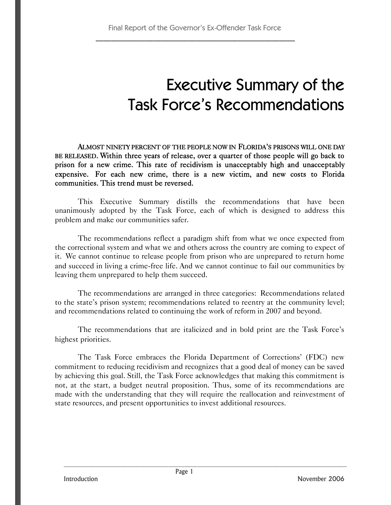# Executive Summary of the Task Force's Recommendations

ALMOST NINETY PERCENT OF THE PEOPLE NOW IN FLORIDA'S PRISONS WILL ONE DAY BE RELEASED. Within three years of release, over a quarter of those people will go back to prison for a new crime. This rate of recidivism is unacceptably high and unacceptably expensive. For each new crime, there is a new victim, and new costs to Florida communities. This trend must be reversed.

This Executive Summary distills the recommendations that have been unanimously adopted by the Task Force, each of which is designed to address this problem and make our communities safer.

The recommendations reflect a paradigm shift from what we once expected from the correctional system and what we and others across the country are coming to expect of it. We cannot continue to release people from prison who are unprepared to return home and succeed in living a crime-free life. And we cannot continue to fail our communities by leaving them unprepared to help them succeed.

The recommendations are arranged in three categories: Recommendations related to the state's prison system; recommendations related to reentry at the community level; and recommendations related to continuing the work of reform in 2007 and beyond.

The recommendations that are italicized and in bold print are the Task Force's highest priorities.

The Task Force embraces the Florida Department of Corrections' (FDC) new commitment to reducing recidivism and recognizes that a good deal of money can be saved by achieving this goal. Still, the Task Force acknowledges that making this commitment is not, at the start, a budget neutral proposition. Thus, some of its recommendations are made with the understanding that they will require the reallocation and reinvestment of state resources, and present opportunities to invest additional resources.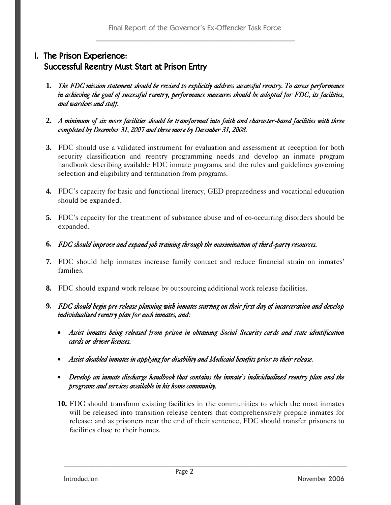## I. The Prison Experience: Successful Reentry Must Start at Prison Entry

- **1.** *The FDC mission statement should be revised to explicitly address successful reentry. To assess performance in achieving the goal of successful reentry, performance measures should be adopted for FDC, its facilities, and wardens and staff.*
- **2.** *A minimum of six more facilities should be transformed into faith and character-based facilities with three completed by December 31, 2007 and three more by December 31, 2008.*
- **3.** FDC should use a validated instrument for evaluation and assessment at reception for both security classification and reentry programming needs and develop an inmate program handbook describing available FDC inmate programs, and the rules and guidelines governing selection and eligibility and termination from programs.
- **4.** FDC's capacity for basic and functional literacy, GED preparedness and vocational education should be expanded.
- **5.** FDC's capacity for the treatment of substance abuse and of co-occurring disorders should be expanded.
- **6.** *FDC should improve and expand job training through the maximization of third-party resources.*
- **7.** FDC should help inmates increase family contact and reduce financial strain on inmates' families.
- **8.** FDC should expand work release by outsourcing additional work release facilities.

### **9.** *FDC should begin pre-release planning with inmates starting on their first day of incarceration and develop individualized reentry plan for each inmates, and:*

- *Assist inmates being released from prison in obtaining Social Security cards and state identification cards or driver licenses.*
- *Assist disabled inmates in applying for disability and Medicaid benefits prior to their release.*
- *Develop an inmate discharge handbook that contains the inmate's individualized reentry plan and the programs and services available in his home community.*
- **10.** FDC should transform existing facilities in the communities to which the most inmates will be released into transition release centers that comprehensively prepare inmates for release; and as prisoners near the end of their sentence, FDC should transfer prisoners to facilities close to their homes.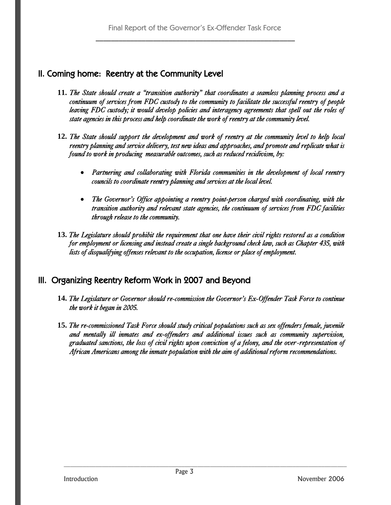## II. Coming home: Reentry at the Community Level

- **11.** *The State should create a "transition authority" that coordinates a seamless planning process and a continuum of services from FDC custody to the community to facilitate the successful reentry of people leaving FDC custody; it would develop policies and interagency agreements that spell out the roles of state agencies in this process and help coordinate the work of reentry at the community level.*
- **12.** *The State should support the development and work of reentry at the community level to help local reentry planning and service delivery, test new ideas and approaches, and promote and replicate what is found to work in producing measurable outcomes, such as reduced recidivism, by:*
	- *Partnering and collaborating with Florida communities in the development of local reentry councils to coordinate reentry planning and services at the local level.*
	- *The Governor's Office appointing a reentry point-person charged with coordinating, with the transition authority and relevant state agencies, the continuum of services from FDC facilities through release to the community.*
- **13.** *The Legislature should prohibit the requirement that one have their civil rights restored as a condition for employment or licensing and instead create a single background check law, such as Chapter 435, with lists of disqualifying offenses relevant to the occupation, license or place of employment.*

## III. Organizing Reentry Reform Work in 2007 and Beyond

- **14.** *The Legislature or Governor should re-commission the Governor's Ex-Offender Task Force to continue the work it began in 2005.*
- **15.** *The re-commissioned Task Force should study critical populations such as sex offenders female, juvenile and mentally ill inmates and ex-offenders and additional issues such as community supervision, graduated sanctions, the loss of civil rights upon conviction of a felony, and the over-representation of African Americans among the inmate population with the aim of additional reform recommendations.*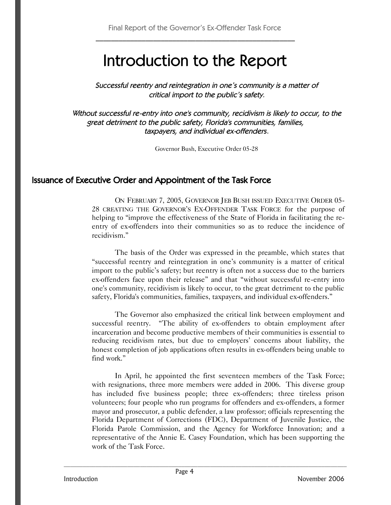# Introduction to the Report

Successful reentry and reintegration in one's community is <sup>a</sup> matter of critical import to the public's safety.

Without successful re-entry into one's community, recidivism is likely to occur, to the great detriment to the public safety, Florida's communities, families, taxpayers, and individual ex-offenders.

Governor Bush, Executive Order 05-28

## Issuance of Executive Order and Appointment of the Task Force

ON FEBRUARY 7, 2005, GOVERNOR JEB BUSH ISSUED EXECUTIVE ORDER 05- 28 CREATING THE GOVERNOR'S EX-OFFENDER TASK FORCE for the purpose of helping to "improve the effectiveness of the State of Florida in facilitating the reentry of ex-offenders into their communities so as to reduce the incidence of recidivism."

The basis of the Order was expressed in the preamble, which states that "successful reentry and reintegration in one's community is a matter of critical import to the public's safety; but reentry is often not a success due to the barriers ex-offenders face upon their release" and that "without successful re-entry into one's community, recidivism is likely to occur, to the great detriment to the public safety, Florida's communities, families, taxpayers, and individual ex-offenders."

The Governor also emphasized the critical link between employment and successful reentry. "The ability of ex-offenders to obtain employment after incarceration and become productive members of their communities is essential to reducing recidivism rates, but due to employers' concerns about liability, the honest completion of job applications often results in ex-offenders being unable to find work."

In April, he appointed the first seventeen members of the Task Force; with resignations, three more members were added in 2006. This diverse group has included five business people; three ex-offenders; three tireless prison volunteers; four people who run programs for offenders and ex-offenders, a former mayor and prosecutor, a public defender, a law professor; officials representing the Florida Department of Corrections (FDC), Department of Juvenile Justice, the Florida Parole Commission, and the Agency for Workforce Innovation; and a representative of the Annie E. Casey Foundation, which has been supporting the work of the Task Force.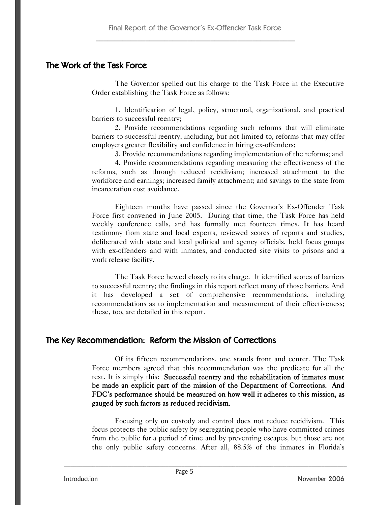### The Work of the Task Force

The Governor spelled out his charge to the Task Force in the Executive Order establishing the Task Force as follows:

1. Identification of legal, policy, structural, organizational, and practical barriers to successful reentry;

2. Provide recommendations regarding such reforms that will eliminate barriers to successful reentry, including, but not limited to, reforms that may offer employers greater flexibility and confidence in hiring ex-offenders;

3. Provide recommendations regarding implementation of the reforms; and

4. Provide recommendations regarding measuring the effectiveness of the reforms, such as through reduced recidivism; increased attachment to the workforce and earnings; increased family attachment; and savings to the state from incarceration cost avoidance.

Eighteen months have passed since the Governor's Ex-Offender Task Force first convened in June 2005. During that time, the Task Force has held weekly conference calls, and has formally met fourteen times. It has heard testimony from state and local experts, reviewed scores of reports and studies, deliberated with state and local political and agency officials, held focus groups with ex-offenders and with inmates, and conducted site visits to prisons and a work release facility.

The Task Force hewed closely to its charge. It identified scores of barriers to successful reentry; the findings in this report reflect many of those barriers. And it has developed a set of comprehensive recommendations, including recommendations as to implementation and measurement of their effectiveness; these, too, are detailed in this report.

## The Key Recommendation: Reform the Mission of Corrections

Of its fifteen recommendations, one stands front and center. The Task Force members agreed that this recommendation was the predicate for all the rest. It is simply this: Successful reentry and the rehabilitation of inmates must be made an explicit part of the mission of the Department of Corrections. And FDC's performance should be measured on how well it adheres to this mission, as gauged by such factors as reduced recidivism.

Focusing only on custody and control does not reduce recidivism. This focus protects the public safety by segregating people who have committed crimes from the public for a period of time and by preventing escapes, but those are not the only public safety concerns. After all, 88.5% of the inmates in Florida's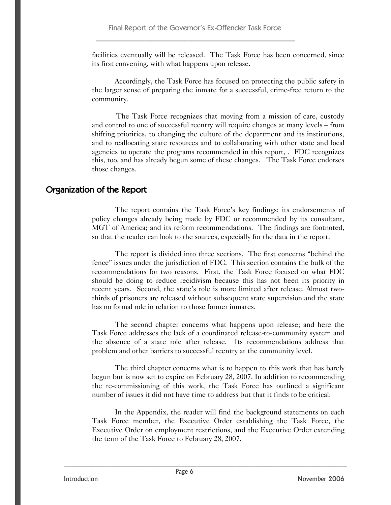facilities eventually will be released. The Task Force has been concerned, since its first convening, with what happens upon release.

Accordingly, the Task Force has focused on protecting the public safety in the larger sense of preparing the inmate for a successful, crime-free return to the community.

The Task Force recognizes that moving from a mission of care, custody and control to one of successful reentry will require changes at many levels – from shifting priorities, to changing the culture of the department and its institutions, and to reallocating state resources and to collaborating with other state and local agencies to operate the programs recommended in this report, . FDC recognizes this, too, and has already begun some of these changes. The Task Force endorses those changes.

## Organization of the Report

The report contains the Task Force's key findings; its endorsements of policy changes already being made by FDC or recommended by its consultant, MGT of America; and its reform recommendations. The findings are footnoted, so that the reader can look to the sources, especially for the data in the report.

The report is divided into three sections. The first concerns "behind the fence" issues under the jurisdiction of FDC. This section contains the bulk of the recommendations for two reasons. First, the Task Force focused on what FDC should be doing to reduce recidivism because this has not been its priority in recent years. Second, the state's role is more limited after release. Almost twothirds of prisoners are released without subsequent state supervision and the state has no formal role in relation to those former inmates.

The second chapter concerns what happens upon release; and here the Task Force addresses the lack of a coordinated release-to-community system and the absence of a state role after release. Its recommendations address that problem and other barriers to successful reentry at the community level.

The third chapter concerns what is to happen to this work that has barely begun but is now set to expire on February 28, 2007. In addition to recommending the re-commissioning of this work, the Task Force has outlined a significant number of issues it did not have time to address but that it finds to be critical.

In the Appendix, the reader will find the background statements on each Task Force member, the Executive Order establishing the Task Force, the Executive Order on employment restrictions, and the Executive Order extending the term of the Task Force to February 28, 2007.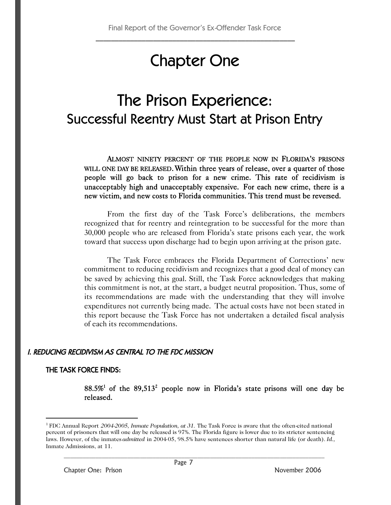# Chapter One

## The Prison Experience: Successful Reentry Must Start at Prison Entry

ALMOST NINETY PERCENT OF THE PEOPLE NOW IN FLORIDA'S PRISONS WILL ONE DAY BE RELEASED. Within three years of release, over a quarter of those people will go back to prison for a new crime. This rate of recidivism is unacceptably high and unacceptably expensive. For each new crime, there is a new victim, and new costs to Florida communities. This trend must be reversed.

From the first day of the Task Force's deliberations, the members recognized that for reentry and reintegration to be successful for the more than 30,000 people who are released from Florida's state prisons each year, the work toward that success upon discharge had to begin upon arriving at the prison gate.

The Task Force embraces the Florida Department of Corrections' new commitment to reducing recidivism and recognizes that a good deal of money can be saved by achieving this goal. Still, the Task Force acknowledges that making this commitment is not, at the start, a budget neutral proposition. Thus, some of its recommendations are made with the understanding that they will involve expenditures not currently being made. The actual costs have not been stated in this report because the Task Force has not undertaken a detailed fiscal analysis of each its recommendations.

### I. REDUCING RECIDIVISM AS CENTRAL TO THE FDC MISSION

### THE TASK FORCE FINDS:

 $88.5\%$ <sup>1</sup> of the  $89.513$ <sup>2</sup> people now in Florida's state prisons will one day be released.

<sup>1</sup> FDC Annual Report *2004-2005, Inmate Population, at 31.* The Task Force is aware that the often-cited national percent of prisoners that will one day be released is 97%. The Florida figure is lower due to its stricter sentencing laws. However, of the inmates *admitted* in 2004-05, 98.5% have sentences shorter than natural life (or death). *Id.,* Inmate Admissions, at 11.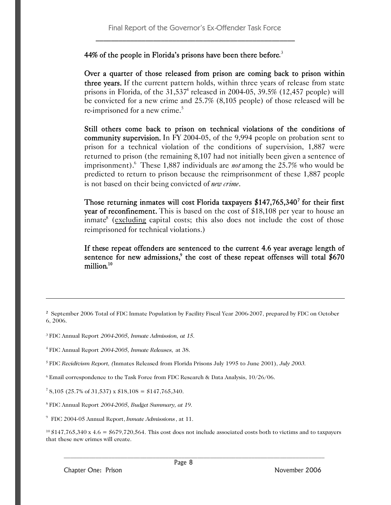### 44% of the people in Florida's prisons have been there before.<sup>3</sup>

Over a quarter of those released from prison are coming back to prison within three years. If the current pattern holds, within three years of release from state prisons in Florida, of the  $31,537<sup>4</sup>$  released in 2004-05, 39.5% (12,457 people) will be convicted for a new crime and 25.7% (8,105 people) of those released will be re-imprisoned for a new crime.<sup>5</sup>

Still others come back to prison on technical violations of the conditions of community supervision. In FY 2004-05, of the 9,994 people on probation sent to prison for a technical violation of the conditions of supervision, 1,887 were returned to prison (the remaining 8,107 had not initially been given a sentence of imprisonment).<sup>6</sup> These 1,887 individuals are *not* among the 25.7% who would be predicted to return to prison because the reimprisonment of these 1,887 people is not based on their being convicted of *new crime*.

Those returning inmates will cost Florida taxpayers  $$147,765,340^7$  for their first year of reconfinement. This is based on the cost of \$18,108 per year to house an inmate<sup>8</sup> (excluding capital costs; this also does not include the cost of those reimprisoned for technical violations.)

If these repeat offenders are sentenced to the current 4.6 year average length of sentence for new admissions,<sup>9</sup> the cost of these repeat offenses will total \$670 million*.* 10

**<sup>2</sup>** September 2006 Total of FDC Inmate Population by Facility Fiscal Year 2006-2007, prepared by FDC on October 6, 2006.

<sup>3</sup> FDC Annual Report *2004-2005, Inmate Admission, at 15.*

4 FDC Annual Report *2004-2005, Inmate Releases,* at 38.

<sup>5</sup> FDC *Recidivism Report, (*Inmates Released from Florida Prisons July 1995 to June 2001), *July 2003.*

<sup>6</sup> Email correspondence to the Task Force from FDC Research & Data Analysis, 10/26/06.

<sup>7</sup> 8,105 (25.7% of 31,537) x  $$18,108 = $147,765,340$ .

<sup>8</sup> FDC Annual Report *2004-2005, Budget Summary, at 19.*

9 FDC 2004-05 Annual Report, *Inmate Admissions*, at 11.

 $10\,$  \$147,765,340 x 4.6 = \$679,720,564. This cost does not include associated costs both to victims and to taxpayers that these new crimes will create.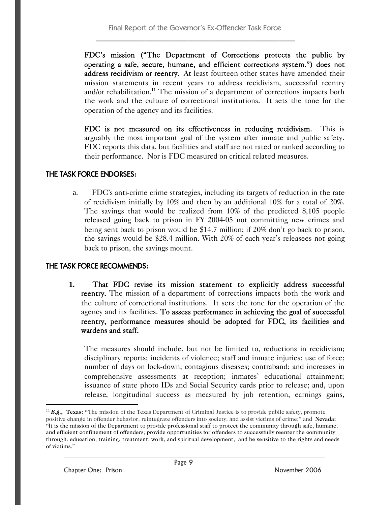FDC's mission ("The Department of Corrections protects the public by operating a safe, secure, humane, and efficient corrections system.") does not address recidivism or reentry. At least fourteen other states have amended their mission statements in recent years to address recidivism, successful reentry and/or rehabilitation.<sup>11</sup> The mission of a department of corrections impacts both the work and the culture of correctional institutions. It sets the tone for the operation of the agency and its facilities.

FDC is not measured on its effectiveness in reducing recidivism. This is arguably the most important goal of the system after inmate and public safety. FDC reports this data, but facilities and staff are not rated or ranked according to their performance. Nor is FDC measured on critical related measures.

### THE TASK FORCE ENDORSES:

a. FDC's anti-crime crime strategies, including its targets of reduction in the rate of recidivism initially by 10% and then by an additional 10% for a total of 20%. The savings that would be realized from 10% of the predicted 8,105 people released going back to prison in FY 2004-05 not committing new crimes and being sent back to prison would be \$14.7 million; if 20% don't go back to prison, the savings would be \$28.4 million. With 20% of each year's releasees not going back to prison, the savings mount.

### THE TASK FORCE RECOMMENDS:

**1.** That FDC revise its mission statement to explicitly address successful reentry. The mission of a department of corrections impacts both the work and the culture of correctional institutions. It sets the tone for the operation of the agency and its facilities. To assess performance in achieving the goal of successful reentry, performance measures should be adopted for FDC, its facilities and wardens and staff.

The measures should include, but not be limited to, reductions in recidivism; disciplinary reports; incidents of violence; staff and inmate injuries; use of force; number of days on lock-down; contagious diseases; contraband; and increases in comprehensive assessments at reception; inmates' educational attainment; issuance of state photo IDs and Social Security cards prior to release; and, upon release, longitudinal success as measured by job retention, earnings gains,

<sup>11</sup> *E.g.,* **Texas: "**The mission of the Texas Department of Criminal Justice is to provide public safety, promote positive change in offender behavior, reintegrate offenders into society, and assist victims of crime;" and **Nevada: "**It is the mission of the Department to provide professional staff to protect the community through safe, humane, and efficient confinement of offenders; provide opportunities for offenders to successfully reenter the community through: education, training, treatment, work, and spiritual development; and be sensitive to the rights and needs of victims."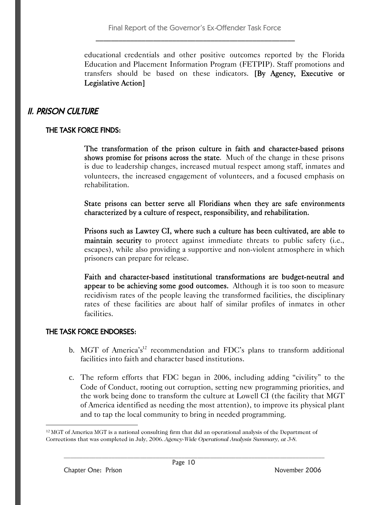educational credentials and other positive outcomes reported by the Florida Education and Placement Information Program (FETPIP). Staff promotions and transfers should be based on these indicators. [By Agency, Executive or Legislative Action]

## II. PRISON CULTURE

### THE TASK FORCE FINDS:

The transformation of the prison culture in faith and character-based prisons shows promise for prisons across the state. Much of the change in these prisons is due to leadership changes, increased mutual respect among staff, inmates and volunteers, the increased engagement of volunteers, and a focused emphasis on rehabilitation.

State prisons can better serve all Floridians when they are safe environments characterized by a culture of respect, responsibility, and rehabilitation.

Prisons such as Lawtey CI, where such a culture has been cultivated, are able to maintain security to protect against immediate threats to public safety (i.e., escapes), while also providing a supportive and non-violent atmosphere in which prisoners can prepare for release.

Faith and character-based institutional transformations are budget-neutral and appear to be achieving some good outcomes. Although it is too soon to measure recidivism rates of the people leaving the transformed facilities, the disciplinary rates of these facilities are about half of similar profiles of inmates in other facilities.

### THE TASK FORCE ENDORSES:

- b. MGT of America's<sup>12</sup> recommendation and FDC's plans to transform additional facilities into faith and character based institutions.
- c. The reform efforts that FDC began in 2006, including adding "civility" to the Code of Conduct, rooting out corruption, setting new programming priorities, and the work being done to transform the culture at Lowell CI (the facility that MGT of America identified as needing the most attention), to improve its physical plant and to tap the local community to bring in needed programming.

 $12$  MGT of America MGT is a national consulting firm that did an operational analysis of the Department of Corrections that was completed in July, 2006. *Agency-Wide Operational Analysis Summary, at 3-8.*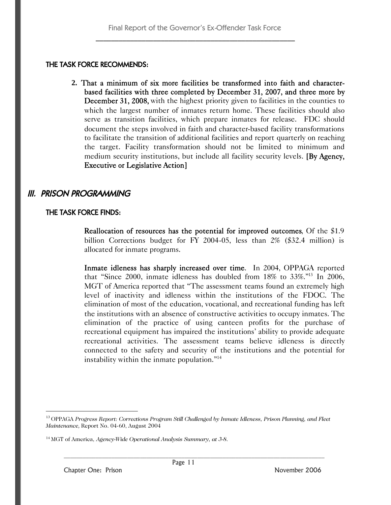### THE TASK FORCE RECOMMENDS:

**2.** That a minimum of six more facilities be transformed into faith and characterbased facilities with three completed by December 31, 2007, and three more by December 31, 2008, with the highest priority given to facilities in the counties to which the largest number of inmates return home. These facilities should also serve as transition facilities, which prepare inmates for release. FDC should document the steps involved in faith and character-based facility transformations to facilitate the transition of additional facilities and report quarterly on reaching the target. Facility transformation should not be limited to minimum and medium security institutions, but include all facility security levels. [By Agency, Executive or Legislative Action]

## III. PRISON PROGRAMMING

### THE TASK FORCE FINDS:

Reallocation of resources has the potential for improved outcomes, Of the \$1.9 billion Corrections budget for FY 2004-05, less than 2% (\$32.4 million) is allocated for inmate programs.

Inmate idleness has sharply increased over time. In 2004, OPPAGA reported that "Since 2000, inmate idleness has doubled from 18% to 33%."<sup>13</sup> In 2006, MGT of America reported that "The assessment teams found an extremely high level of inactivity and idleness within the institutions of the FDOC. The elimination of most of the education, vocational, and recreational funding has left the institutions with an absence of constructive activities to occupy inmates. The elimination of the practice of using canteen profits for the purchase of recreational equipment has impaired the institutions' ability to provide adequate recreational activities. The assessment teams believe idleness is directly connected to the safety and security of the institutions and the potential for instability within the inmate population."<sup>14</sup>

<sup>13</sup> OPPAGA *Progress Report: Corrections Program Still Challenged by Inmate Idleness, Prison Planning, and Fleet Maintenance,* Report No. 04-60, August 2004

<sup>14</sup> MGT of America, *Agency-Wide Operational Analysis Summary, at 3-8.*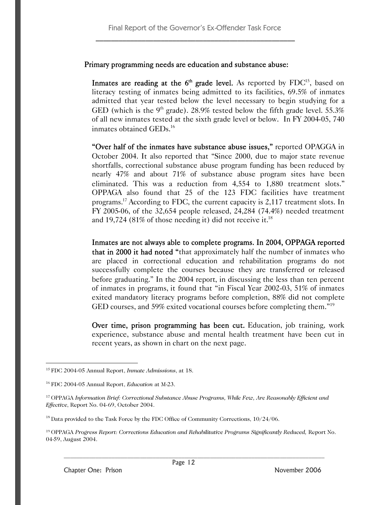### Primary programming needs are education and substance abuse:

Inmates are reading at the  $6<sup>th</sup>$  grade level. As reported by  $FDC<sup>15</sup>$ , based on literacy testing of inmates being admitted to its facilities, 69.5% of inmates admitted that year tested below the level necessary to begin studying for a GED (which is the 9<sup>th</sup> grade). 28.9% tested below the fifth grade level. 55.3% of all new inmates tested at the sixth grade level or below. In FY 2004-05, 740 inmates obtained GEDs.<sup>16</sup>

"Over half of the inmates have substance abuse issues," reported OPAGGA in October 2004. It also reported that "Since 2000, due to major state revenue shortfalls, correctional substance abuse program funding has been reduced by nearly 47% and about 71% of substance abuse program sites have been eliminated. This was a reduction from 4,554 to 1,880 treatment slots." OPPAGA also found that 25 of the 123 FDC facilities have treatment programs.<sup>17</sup> According to FDC, the current capacity is 2,117 treatment slots. In FY 2005-06, of the 32,654 people released, 24,284 (74.4%) needed treatment and 19,724 (81% of those needing it) did not receive it.<sup>18</sup>

Inmates are not always able to complete programs. In 2004, OPPAGA reported that in 2000 it had noted "that approximately half the number of inmates who are placed in correctional education and rehabilitation programs do not successfully complete the courses because they are transferred or released before graduating." In the 2004 report, in discussing the less than ten percent of inmates in programs, it found that "in Fiscal Year 2002-03, 51% of inmates exited mandatory literacy programs before completion, 88% did not complete GED courses, and 59% exited vocational courses before completing them."<sup>19</sup>

Over time, prison programming has been cut. Education, job training, work experience, substance abuse and mental health treatment have been cut in recent years, as shown in chart on the next page.

<sup>15</sup> FDC 2004-05 Annual Report, *Inmate Admissions*, at 18.

<sup>16</sup> FDC 2004-05 Annual Report, *Education* at M-23.

<sup>17</sup> OPPAGA *Information Brief: Correctional Substance Abuse Programs, While Few, Are Reasonably Efficient and Effective*, Report No. 04-69, October 2004.

<sup>&</sup>lt;sup>18</sup> Data provided to the Task Force by the FDC Office of Community Corrections,  $10/24/06$ .

<sup>19</sup> OPPAGA *Progress Report: Corrections Education and Rehabilitative Programs Significantly Reduced,* Report No. 04-59, August 2004.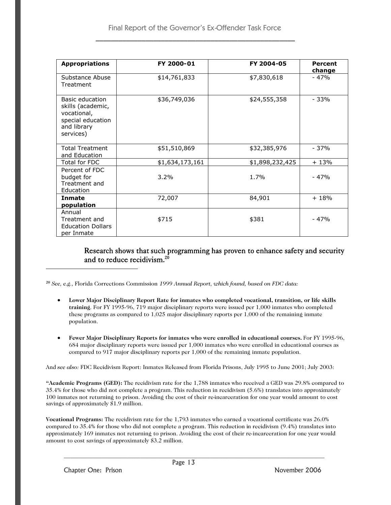| <b>Appropriations</b>                                                                                | FY 2000-01      | FY 2004-05      | <b>Percent</b><br>change |
|------------------------------------------------------------------------------------------------------|-----------------|-----------------|--------------------------|
| Substance Abuse<br>Treatment                                                                         | \$14,761,833    | \$7,830,618     | $-47%$                   |
| Basic education<br>skills (academic,<br>vocational,<br>special education<br>and library<br>services) | \$36,749,036    | \$24,555,358    | - 33%                    |
| <b>Total Treatment</b><br>and Education                                                              | \$51,510,869    | \$32,385,976    | - 37%                    |
| Total for FDC                                                                                        | \$1,634,173,161 | \$1,898,232,425 | $+13%$                   |
| Percent of FDC<br>budget for<br>Treatment and<br>Education                                           | 3.2%            | 1.7%            | $-47%$                   |
| Inmate                                                                                               | 72,007          | 84,901          | $+18%$                   |
| population                                                                                           |                 |                 |                          |
| Annual<br>Treatment and<br><b>Education Dollars</b><br>per Inmate                                    | \$715           | \$381           | $-47%$                   |

### Research shows that such programming has proven to enhance safety and security and to reduce recidivism.<sup>20</sup>

**<sup>20</sup>** *See, e.g.,* Florida Corrections Commission *1999 Annual Report, which found, based on FDC data:*

- **Lower Major Disciplinary Report Rate for inmates who completed vocational, transition, or life skills training**. For FY 1995-96, 719 major disciplinary reports were issued per 1,000 inmates who completed these programs as compared to 1,025 major disciplinary reports per 1,000 of the remaining inmate population.
- **Fewer Major Disciplinary Reports for inmates who were enrolled in educational courses.** For FY 1995-96, 684 major disciplinary reports were issued per 1,000 inmates who were enrolled in educational courses as compared to 917 major disciplinary reports per 1,000 of the remaining inmate population.

And *see also:* FDC Recidivism Report: Inmates Released from Florida Prisons, July 1995 to June 2001; July 2003:

**"Academic Programs (GED):** The recidivism rate for the 1,788 inmates who received a GED was 29.8% compared to 35.4% for those who did not complete a program. This reduction in recidivism (5.6%) translates into approximately 100 inmates not returning to prison. Avoiding the cost of their re-incarceration for one year would amount to cost savings of approximately \$1.9 million.

**Vocational Programs:** The recidivism rate for the 1,793 inmates who earned a vocational certificate was 26.0% compared to 35.4% for those who did not complete a program. This reduction in recidivism (9.4%) translates into approximately 169 inmates not returning to prison. Avoiding the cost of their re-incarceration for one year would amount to cost savings of approximately \$3.2 million.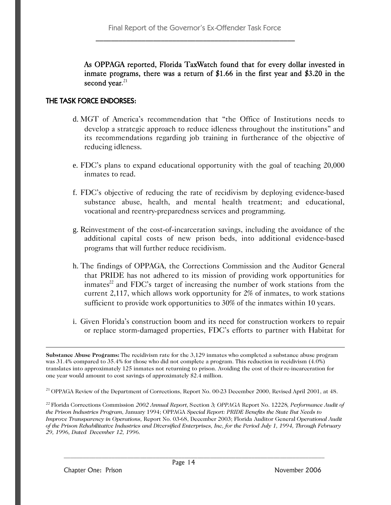As OPPAGA reported, Florida TaxWatch found that for every dollar invested in inmate programs, there was a return of \$1.66 in the first year and \$3.20 in the second year.<sup>21</sup>

### THE TASK FORCE ENDORSES:

- d. MGT of America's recommendation that "the Office of Institutions needs to develop a strategic approach to reduce idleness throughout the institutions" and its recommendations regarding job training in furtherance of the objective of reducing idleness.
- e. FDC's plans to expand educational opportunity with the goal of teaching 20,000 inmates to read.
- f. FDC's objective of reducing the rate of recidivism by deploying evidence-based substance abuse, health, and mental health treatment; and educational, vocational and reentry-preparedness services and programming.
- g. Reinvestment of the cost-of-incarceration savings, including the avoidance of the additional capital costs of new prison beds, into additional evidence-based programs that will further reduce recidivism.
- h. The findings of OPPAGA, the Corrections Commission and the Auditor General that PRIDE has not adhered to its mission of providing work opportunities for inmates $^{22}$  and FDC's target of increasing the number of work stations from the current 2,117, which allows work opportunity for 2% of inmates, to work stations sufficient to provide work opportunities to 30% of the inmates within 10 years.
- i. Given Florida's construction boom and its need for construction workers to repair or replace storm-damaged properties, FDC's efforts to partner with Habitat for

**Substance Abuse Programs:** The recidivism rate for the 3,129 inmates who completed a substance abuse program was 31.4% compared to 35.4% for those who did not complete a program. This reduction in recidivism (4.0%) translates into approximately 125 inmates not returning to prison. Avoiding the cost of their re-incarceration for one year would amount to cost savings of approximately \$2.4 million.

<sup>21</sup> OPPAGA Review of the Department of Corrections, Report No. 00-23 December 2000, Revised April 2001, at 48.

<sup>22</sup> Florida Corrections Commission *2002 Annual Report,* Section 3*; OPPAGA* Report No. 12228*, Performance Audit of the Prison Industries Program*, January 1994; OPPAGA *Special Report: PRIDE Benefits the State But Needs to Improve Transparency in Operations,* Report No. 03-68, December 2003; Florida Auditor General *Operational Audit of the Prison Rehabilitative Industries and Diversified Enterprises, Inc, for the Period July 1, 1994, Through February 29, 1996, Dated December 12, 1996.*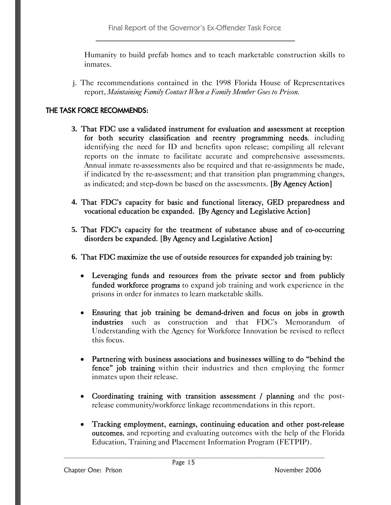Humanity to build prefab homes and to teach marketable construction skills to inmates.

j. The recommendations contained in the 1998 Florida House of Representatives report, *Maintaining Family Contact When a Family Member Goes to Prison.*

### THE TASK FORCE RECOMMENDS:

- **3.** That FDC use a validated instrument for evaluation and assessment at reception for both security classification and reentry programming needs, including identifying the need for ID and benefits upon release; compiling all relevant reports on the inmate to facilitate accurate and comprehensive assessments. Annual inmate re-assessments also be required and that re-assignments be made, if indicated by the re-assessment; and that transition plan programming changes, as indicated; and step-down be based on the assessments. [By Agency Action]
- **4.** That FDC's capacity for basic and functional literacy, GED preparedness and vocational education be expanded. [By Agency and Legislative Action]
- **5.** That FDC's capacity for the treatment of substance abuse and of co-occurring disorders be expanded. [By Agency and Legislative Action]
- **6.** That FDC maximize the use of outside resources for expanded job training by:
	- Leveraging funds and resources from the private sector and from publicly funded workforce programs to expand job training and work experience in the prisons in order for inmates to learn marketable skills.
	- Ensuring that job training be demand-driven and focus on jobs in growth industries such as construction and that FDC's Memorandum of Understanding with the Agency for Workforce Innovation be revised to reflect this focus.
	- Partnering with business associations and businesses willing to do "behind the fence" job training within their industries and then employing the former inmates upon their release.
	- Coordinating training with transition assessment / planning and the postrelease community/workforce linkage recommendations in this report.
	- Tracking employment, earnings, continuing education and other post-release outcomes, and reporting and evaluating outcomes with the help of the Florida Education, Training and Placement Information Program (FETPIP).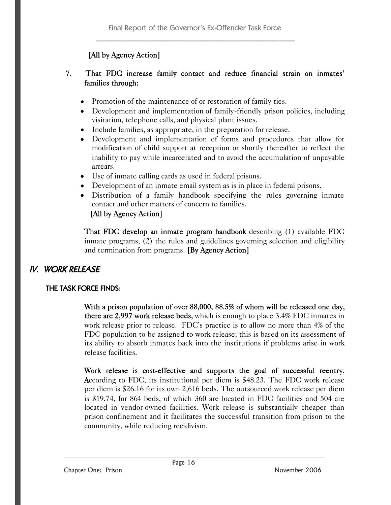## [All by Agency Action]

### 7. That FDC increase family contact and reduce financial strain on inmates' families through:

- Promotion of the maintenance of or restoration of family ties.
- Development and implementation of family-friendly prison policies, including visitation, telephone calls, and physical plant issues.
- Include families, as appropriate, in the preparation for release.
- Development and implementation of forms and procedures that allow for modification of child support at reception or shortly thereafter to reflect the inability to pay while incarcerated and to avoid the accumulation of unpayable arrears.
- Use of inmate calling cards as used in federal prisons.
- Development of an inmate email system as is in place in federal prisons.
- Distribution of a family handbook specifying the rules governing inmate contact and other matters of concern to families.

## [All by Agency Action]

That FDC develop an inmate program handbook describing (1) available FDC inmate programs, (2) the rules and guidelines governing selection and eligibility and termination from programs. [By Agency Action]

## IV. WORK RELEASE

## THE TASK FORCE FINDS:

With a prison population of over 88,000, 88.5% of whom will be released one day, there are 2,997 work release beds, which is enough to place 3.4% FDC inmates in work release prior to release. FDC's practice is to allow no more than 4% of the FDC population to be assigned to work release; this is based on its assessment of its ability to absorb inmates back into the institutions if problems arise in work release facilities.

Work release is cost-effective and supports the goal of successful reentry. According to FDC, its institutional per diem is \$48.23. The FDC work release per diem is \$26.16 for its own 2,616 beds. The outsourced work release per diem is \$19.74, for 864 beds, of which 360 are located in FDC facilities and 504 are located in vendor-owned facilities. Work release is substantially cheaper than prison confinement and it facilitates the successful transition from prison to the community, while reducing recidivism.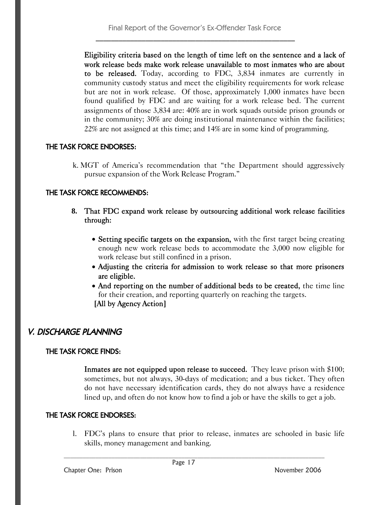Eligibility criteria based on the length of time left on the sentence and a lack of work release beds make work release unavailable to most inmates who are about to be released. Today, according to FDC, 3,834 inmates are currently in community custody status and meet the eligibility requirements for work release but are not in work release. Of those, approximately 1,000 inmates have been found qualified by FDC and are waiting for a work release bed. The current assignments of those 3,834 are: 40% are in work squads outside prison grounds or in the community; 30% are doing institutional maintenance within the facilities; 22% are not assigned at this time; and 14% are in some kind of programming.

### THE TASK FORCE ENDORSES:

k. MGT of America's recommendation that "the Department should aggressively pursue expansion of the Work Release Program."

### THE TASK FORCE RECOMMENDS:

- **8.** That FDC expand work release by outsourcing additional work release facilities through:
	- Setting specific targets on the expansion, with the first target being creating enough new work release beds to accommodate the 3,000 now eligible for work release but still confined in a prison.
	- Adjusting the criteria for admission to work release so that more prisoners are eligible.
	- And reporting on the number of additional beds to be created, the time line for their creation, and reporting quarterly on reaching the targets. [All by Agency Action]

## V. DISCHARGE PLANNING

### THE TASK FORCE FINDS:

Inmates are not equipped upon release to succeed. They leave prison with \$100; sometimes, but not always, 30-days of medication; and a bus ticket. They often do not have necessary identification cards, they do not always have a residence lined up, and often do not know how to find a job or have the skills to get a job.

### THE TASK FORCE ENDORSES:

l. FDC's plans to ensure that prior to release, inmates are schooled in basic life skills, money management and banking.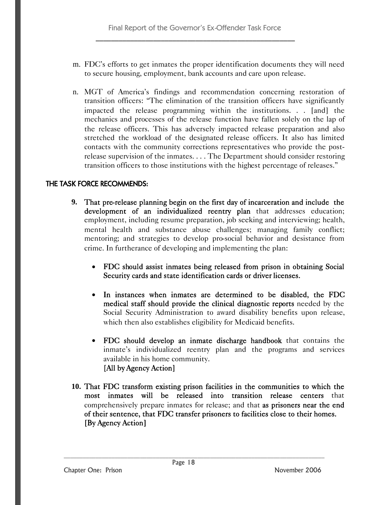- m. FDC's efforts to get inmates the proper identification documents they will need to secure housing, employment, bank accounts and care upon release.
- n. MGT of America's findings and recommendation concerning restoration of transition officers: "The elimination of the transition officers have significantly impacted the release programming within the institutions. . . [and] the mechanics and processes of the release function have fallen solely on the lap of the release officers. This has adversely impacted release preparation and also stretched the workload of the designated release officers. It also has limited contacts with the community corrections representatives who provide the postrelease supervision of the inmates. . . . The Department should consider restoring transition officers to those institutions with the highest percentage of releases."

### THE TASK FORCE RECOMMENDS:

- **9.** That pre-release planning begin on the first day of incarceration and include the development of an individualized reentry plan that addresses education; employment, including resume preparation, job seeking and interviewing; health, mental health and substance abuse challenges; managing family conflict; mentoring; and strategies to develop pro-social behavior and desistance from crime. In furtherance of developing and implementing the plan:
	- FDC should assist inmates being released from prison in obtaining Social Security cards and state identification cards or driver licenses.
	- In instances when inmates are determined to be disabled, the FDC medical staff should provide the clinical diagnostic reports needed by the Social Security Administration to award disability benefits upon release, which then also establishes eligibility for Medicaid benefits.
	- FDC should develop an inmate discharge handbook that contains the inmate's individualized reentry plan and the programs and services available in his home community. [All by Agency Action]
- **10.** That FDC transform existing prison facilities in the communities to which the most inmates will be released into transition release centers that comprehensively prepare inmates for release; and that as prisoners near the end of their sentence, that FDC transfer prisoners to facilities close to their homes. [By Agency Action]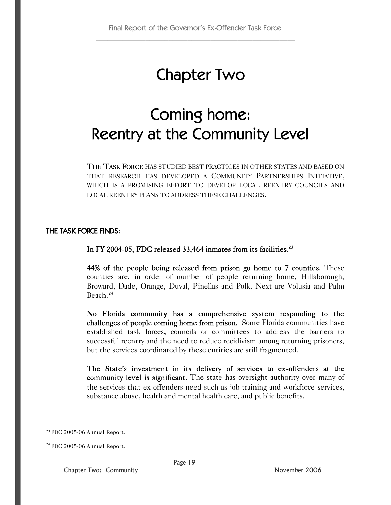## Chapter Two

# Coming home: Reentry at the Community Level

THE TASK FORCE HAS STUDIED BEST PRACTICES IN OTHER STATES AND BASED ON THAT RESEARCH HAS DEVELOPED A COMMUNITY PARTNERSHIPS INITIATIVE, WHICH IS A PROMISING EFFORT TO DEVELOP LOCAL REENTRY COUNCILS AND LOCAL REENTRY PLANS TO ADDRESS THESE CHALLENGES.

### THE TASK FORCE FINDS:

In FY 2004-05, FDC released 33,464 inmates from its facilities.<sup>23</sup>

44% of the people being released from prison go home to 7 counties. These counties are, in order of number of people returning home, Hillsborough, Broward, Dade, Orange, Duval, Pinellas and Polk. Next are Volusia and Palm Beach. $24$ 

No Florida community has a comprehensive system responding to the challenges of people coming home from prison. Some Florida communities have established task forces, councils or committees to address the barriers to successful reentry and the need to reduce recidivism among returning prisoners, but the services coordinated by these entities are still fragmented.

The State's investment in its delivery of services to ex-offenders at the community level is significant. The state has oversight authority over many of the services that ex-offenders need such as job training and workforce services, substance abuse, health and mental health care, and public benefits.

<sup>23</sup> FDC 2005-06 Annual Report.

 $24$  FDC 2005-06 Annual Report.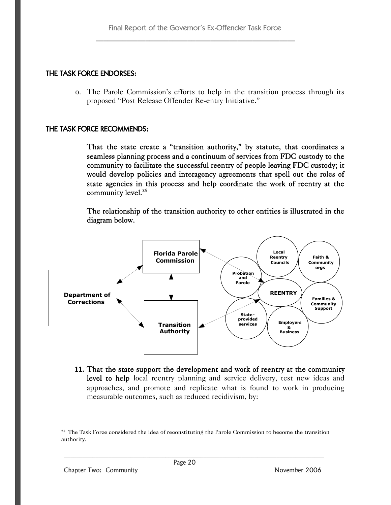### THE TASK FORCE ENDORSES:

o. The Parole Commission's efforts to help in the transition process through its proposed "Post Release Offender Re-entry Initiative."

### THE TASK FORCE RECOMMENDS:

That the state create a "transition authority," by statute, that coordinates a seamless planning process and a continuum of services from FDC custody to the community to facilitate the successful reentry of people leaving FDC custody; it would develop policies and interagency agreements that spell out the roles of state agencies in this process and help coordinate the work of reentry at the community level.<sup>25</sup>

The relationship of the transition authority to other entities is illustrated in the diagram below.



**11.** That the state support the development and work of reentry at the community level to help local reentry planning and service delivery, test new ideas and approaches, and promote and replicate what is found to work in producing measurable outcomes, such as reduced recidivism, by:

**<sup>25</sup>** The Task Force considered the idea of reconstituting the Parole Commission to become the transition authority.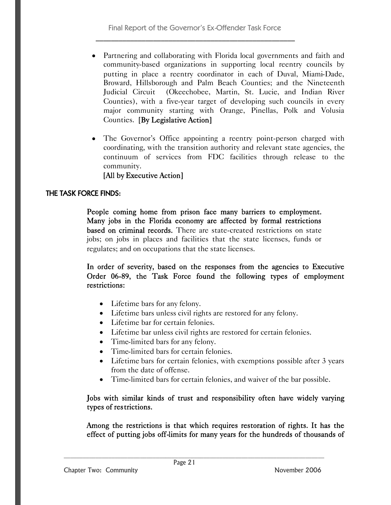- Partnering and collaborating with Florida local governments and faith and community-based organizations in supporting local reentry councils by putting in place a reentry coordinator in each of Duval, Miami-Dade, Broward, Hillsborough and Palm Beach Counties; and the Nineteenth Judicial Circuit (Okeechobee, Martin, St. Lucie, and Indian River Counties), with a five-year target of developing such councils in every major community starting with Orange, Pinellas, Polk and Volusia Counties. [By Legislative Action]
- The Governor's Office appointing a reentry point-person charged with coordinating, with the transition authority and relevant state agencies, the continuum of services from FDC facilities through release to the community.

### [All by Executive Action]

### THE TASK FORCE FINDS:

People coming home from prison face many barriers to employment. Many jobs in the Florida economy are affected by formal restrictions based on criminal records. There are state-created restrictions on state jobs; on jobs in places and facilities that the state licenses, funds or regulates; and on occupations that the state licenses.

In order of severity, based on the responses from the agencies to Executive Order 06-89, the Task Force found the following types of employment restrictions:

- Lifetime bars for any felony.
- Lifetime bars unless civil rights are restored for any felony.
- Lifetime bar for certain felonies.
- Lifetime bar unless civil rights are restored for certain felonies.
- Time-limited bars for any felony.
- Time-limited bars for certain felonies.
- Lifetime bars for certain felonies, with exemptions possible after 3 years from the date of offense.
- Time-limited bars for certain felonies, and waiver of the bar possible.

### Jobs with similar kinds of trust and responsibility often have widely varying types of restrictions.

Among the restrictions is that which requires restoration of rights. It has the effect of putting jobs off-limits for many years for the hundreds of thousands of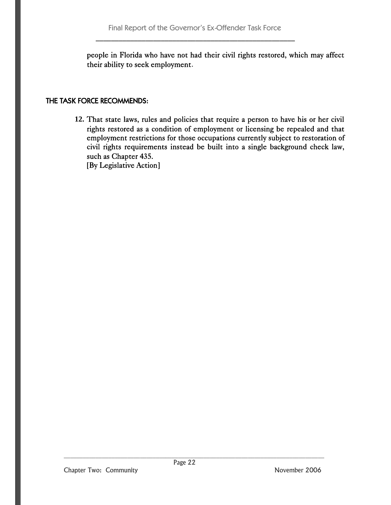people in Florida who have not had their civil rights restored, which may affect their ability to seek employment.

### THE TASK FORCE RECOMMENDS:

**12.** That state laws, rules and policies that require a person to have his or her civil rights restored as a condition of employment or licensing be repealed and that employment restrictions for those occupations currently subject to restoration of civil rights requirements instead be built into a single background check law, such as Chapter 435. [By Legislative Action]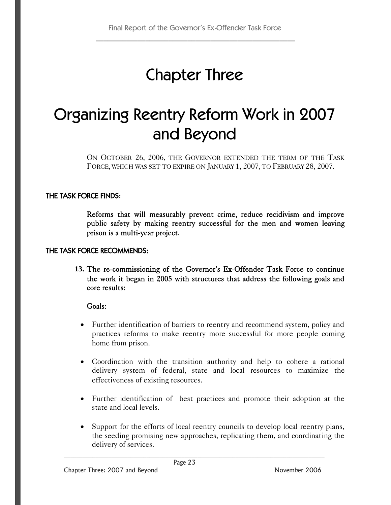# Chapter Three

# Organizing Reentry Reform Work in 2007 and Beyond

ON OCTOBER 26, 2006, THE GOVERNOR EXTENDED THE TERM OF THE TASK FORCE, WHICH WAS SET TO EXPIRE ON JANUARY 1, 2007, TO FEBRUARY 28, 2007.

### THE TASK FORCE FINDS:

Reforms that will measurably prevent crime, reduce recidivism and improve public safety by making reentry successful for the men and women leaving prison is a multi-year project.

### THE TASK FORCE RECOMMENDS:

**13.** The re-commissioning of the Governor's Ex-Offender Task Force to continue the work it began in 2005 with structures that address the following goals and core results:

### Goals:

- Further identification of barriers to reentry and recommend system, policy and practices reforms to make reentry more successful for more people coming home from prison.
- Coordination with the transition authority and help to cohere a rational delivery system of federal, state and local resources to maximize the effectiveness of existing resources.
- Further identification of best practices and promote their adoption at the state and local levels.
- Support for the efforts of local reentry councils to develop local reentry plans, the seeding promising new approaches, replicating them, and coordinating the delivery of services.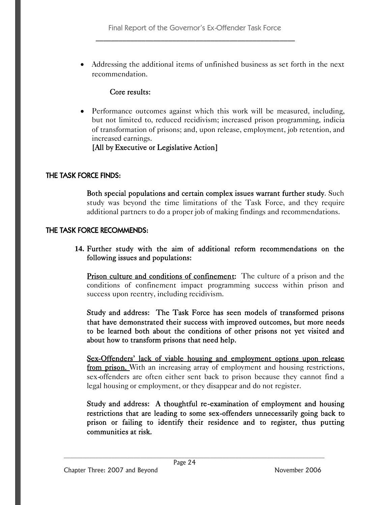Addressing the additional items of unfinished business as set forth in the next recommendation.

### Core results:

 Performance outcomes against which this work will be measured, including, but not limited to, reduced recidivism; increased prison programming, indicia of transformation of prisons; and, upon release, employment, job retention, and increased earnings.

### [All by Executive or Legislative Action]

### THE TASK FORCE FINDS:

Both special populations and certain complex issues warrant further study. Such study was beyond the time limitations of the Task Force, and they require additional partners to do a proper job of making findings and recommendations.

### THE TASK FORCE RECOMMENDS:

**14.** Further study with the aim of additional reform recommendations on the following issues and populations:

**Prison culture and conditions of confinement:** The culture of a prison and the conditions of confinement impact programming success within prison and success upon reentry, including recidivism.

Study and address: The Task Force has seen models of transformed prisons that have demonstrated their success with improved outcomes, but more needs to be learned both about the conditions of other prisons not yet visited and about how to transform prisons that need help.

Sex-Offenders' lack of viable housing and employment options upon release from prison. With an increasing array of employment and housing restrictions, sex-offenders are often either sent back to prison because they cannot find a legal housing or employment, or they disappear and do not register.

Study and address: A thoughtful re-examination of employment and housing restrictions that are leading to some sex-offenders unnecessarily going back to prison or failing to identify their residence and to register, thus putting communities at risk.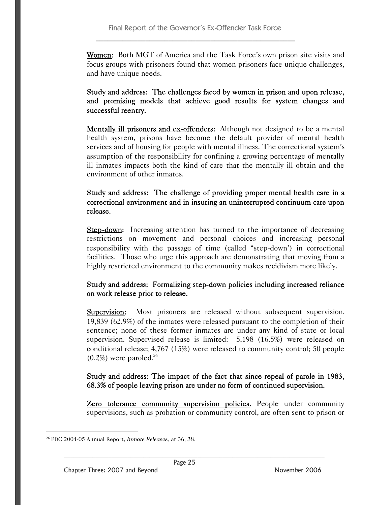Women: Both MGT of America and the Task Force's own prison site visits and focus groups with prisoners found that women prisoners face unique challenges, and have unique needs.

Study and address: The challenges faced by women in prison and upon release, and promising models that achieve good results for system changes and successful reentry.

Mentally ill prisoners and ex-offenders: Although not designed to be a mental health system, prisons have become the default provider of mental health services and of housing for people with mental illness. The correctional system's assumption of the responsibility for confining a growing percentage of mentally ill inmates impacts both the kind of care that the mentally ill obtain and the environment of other inmates.

Study and address: The challenge of providing proper mental health care in a correctional environment and in insuring an uninterrupted continuum care upon release.

Step-down: Increasing attention has turned to the importance of decreasing restrictions on movement and personal choices and increasing personal responsibility with the passage of time (called "step-down') in correctional facilities. Those who urge this approach are demonstrating that moving from a highly restricted environment to the community makes recidivism more likely.

### Study and address: Formalizing step-down policies including increased reliance on work release prior to release.

**Supervision:** Most prisoners are released without subsequent supervision. 19,839 (62.9%) of the inmates were released pursuant to the completion of their sentence; none of these former inmates are under any kind of state or local supervision. Supervised release is limited: 5,198 (16.5%) were released on conditional release; 4,767 (15%) were released to community control; 50 people  $(0.2\%)$  were paroled.<sup>26</sup>

### Study and address: The impact of the fact that since repeal of parole in 1983, 68.3% of people leaving prison are under no form of continued supervision.

Zero tolerance community supervision policies. People under community supervisions, such as probation or community control, are often sent to prison or

<sup>26</sup> FDC 2004-05 Annual Report, *Inmate Releases*, at 36, 38.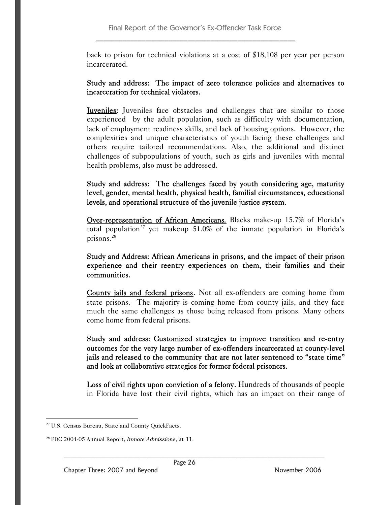back to prison for technical violations at a cost of \$18,108 per year per person incarcerated.

### Study and address: The impact of zero tolerance policies and alternatives to incarceration for technical violators.

Juveniles: Juveniles face obstacles and challenges that are similar to those experienced by the adult population, such as difficulty with documentation, lack of employment readiness skills, and lack of housing options. However, the complexities and unique characteristics of youth facing these challenges and others require tailored recommendations. Also, the additional and distinct challenges of subpopulations of youth, such as girls and juveniles with mental health problems, also must be addressed.

Study and address: The challenges faced by youth considering age, maturity level, gender, mental health, physical health, familial circumstances, educational levels, and operational structure of the juvenile justice system.

Over-representation of African Americans. Blacks make-up 15.7% of Florida's total population<sup>27</sup> yet makeup 51.0% of the inmate population in Florida's prisons.<sup>28</sup>

Study and Address: African Americans in prisons, and the impact of their prison experience and their reentry experiences on them, their families and their communities.

County jails and federal prisons. Not all ex-offenders are coming home from state prisons. The majority is coming home from county jails, and they face much the same challenges as those being released from prisons. Many others come home from federal prisons.

Study and address: Customized strategies to improve transition and re-entry outcomes for the very large number of ex-offenders incarcerated at county-level jails and released to the community that are not later sentenced to "state time" and look at collaborative strategies for former federal prisoners.

Loss of civil rights upon conviction of a felony. Hundreds of thousands of people in Florida have lost their civil rights, which has an impact on their range of

<sup>27</sup> U.S. Census Bureau, State and County QuickFacts.

<sup>28</sup> FDC 2004-05 Annual Report, *Inmate Admissions*, at 11.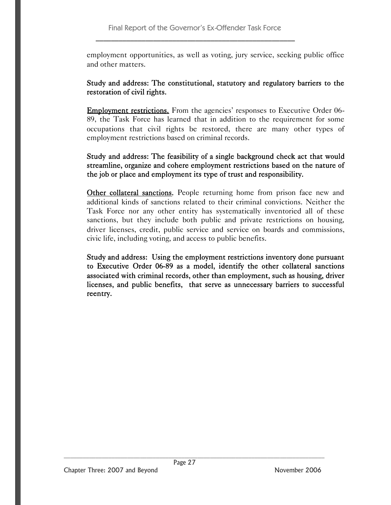employment opportunities, as well as voting, jury service, seeking public office and other matters.

### Study and address: The constitutional, statutory and regulatory barriers to the restoration of civil rights.

Employment restrictions. From the agencies' responses to Executive Order 06- 89, the Task Force has learned that in addition to the requirement for some occupations that civil rights be restored, there are many other types of employment restrictions based on criminal records.

### Study and address: The feasibility of a single background check act that would streamline, organize and cohere employment restrictions based on the nature of the job or place and employment its type of trust and responsibility.

Other collateral sanctions. People returning home from prison face new and additional kinds of sanctions related to their criminal convictions. Neither the Task Force nor any other entity has systematically inventoried all of these sanctions, but they include both public and private restrictions on housing, driver licenses, credit, public service and service on boards and commissions, civic life, including voting, and access to public benefits.

Study and address: Using the employment restrictions inventory done pursuant to Executive Order 06-89 as a model, identify the other collateral sanctions associated with criminal records, other than employment, such as housing, driver licenses, and public benefits, that serve as unnecessary barriers to successful reentry.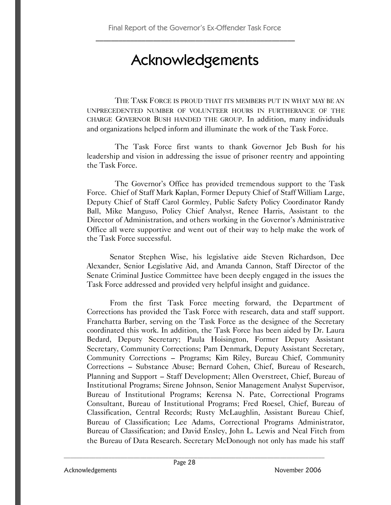## Acknowledgements

THE TASK FORCE IS PROUD THAT ITS MEMBERS PUT IN WHAT MAY BE AN UNPRECEDENTED NUMBER OF VOLUNTEER HOURS IN FURTHERANCE OF THE CHARGE GOVERNOR BUSH HANDED THE GROUP. In addition, many individuals and organizations helped inform and illuminate the work of the Task Force.

The Task Force first wants to thank Governor Jeb Bush for his leadership and vision in addressing the issue of prisoner reentry and appointing the Task Force.

The Governor's Office has provided tremendous support to the Task Force. Chief of Staff Mark Kaplan, Former Deputy Chief of Staff William Large, Deputy Chief of Staff Carol Gormley, Public Safety Policy Coordinator Randy Ball, Mike Manguso, Policy Chief Analyst, Renee Harris, Assistant to the Director of Administration, and others working in the Governor's Administrative Office all were supportive and went out of their way to help make the work of the Task Force successful.

Senator Stephen Wise, his legislative aide Steven Richardson, Dee Alexander, Senior Legislative Aid, and Amanda Cannon, Staff Director of the Senate Criminal Justice Committee have been deeply engaged in the issues the Task Force addressed and provided very helpful insight and guidance.

From the first Task Force meeting forward, the Department of Corrections has provided the Task Force with research, data and staff support. Franchatta Barber, serving on the Task Force as the designee of the Secretary coordinated this work. In addition, the Task Force has been aided by Dr. Laura Bedard, Deputy Secretary; Paula Hoisington, Former Deputy Assistant Secretary, Community Corrections; Pam Denmark, Deputy Assistant Secretary, Community Corrections – Programs; Kim Riley, Bureau Chief, Community Corrections – Substance Abuse; Bernard Cohen, Chief, Bureau of Research, Planning and Support – Staff Development; Allen Overstreet, Chief, Bureau of Institutional Programs; Sirene Johnson, Senior Management Analyst Supervisor, Bureau of Institutional Programs; Kerensa N. Pate, Correctional Programs Consultant, Bureau of Institutional Programs; Fred Roesel, Chief, Bureau of Classification, Central Records; Rusty McLaughlin, Assistant Bureau Chief, Bureau of Classification; Lee Adams, Correctional Programs Administrator, Bureau of Classification; and David Ensley, John L. Lewis and Neal Fitch from the Bureau of Data Research. Secretary McDonough not only has made his staff

Acknowledgements **November 2006**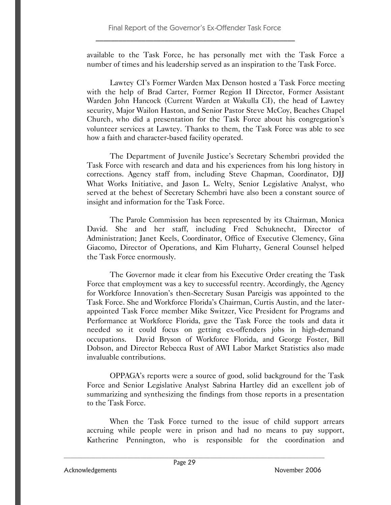available to the Task Force, he has personally met with the Task Force a number of times and his leadership served as an inspiration to the Task Force.

Lawtey CI's Former Warden Max Denson hosted a Task Force meeting with the help of Brad Carter, Former Region II Director, Former Assistant Warden John Hancock (Current Warden at Wakulla CI), the head of Lawtey security, Major Wailon Haston, and Senior Pastor Steve McCoy, Beaches Chapel Church, who did a presentation for the Task Force about his congregation's volunteer services at Lawtey. Thanks to them, the Task Force was able to see how a faith and character-based facility operated.

The Department of Juvenile Justice's Secretary Schembri provided the Task Force with research and data and his experiences from his long history in corrections. Agency staff from, including Steve Chapman, Coordinator, DJJ What Works Initiative, and Jason L. Welty, Senior Legislative Analyst, who served at the behest of Secretary Schembri have also been a constant source of insight and information for the Task Force.

The Parole Commission has been represented by its Chairman, Monica David. She and her staff, including Fred Schuknecht, Director of Administration; Janet Keels, Coordinator, Office of Executive Clemency, Gina Giacomo, Director of Operations, and Kim Fluharty, General Counsel helped the Task Force enormously.

The Governor made it clear from his Executive Order creating the Task Force that employment was a key to successful reentry. Accordingly, the Agency for Workforce Innovation's then-Secretary Susan Pareigis was appointed to the Task Force. She and Workforce Florida's Chairman, Curtis Austin, and the laterappointed Task Force member Mike Switzer, Vice President for Programs and Performance at Workforce Florida, gave the Task Force the tools and data it needed so it could focus on getting ex-offenders jobs in high-demand occupations. David Bryson of Workforce Florida, and George Foster, Bill Dobson, and Director Rebecca Rust of AWI Labor Market Statistics also made invaluable contributions.

OPPAGA's reports were a source of good, solid background for the Task Force and Senior Legislative Analyst Sabrina Hartley did an excellent job of summarizing and synthesizing the findings from those reports in a presentation to the Task Force.

When the Task Force turned to the issue of child support arrears accruing while people were in prison and had no means to pay support, Katherine Pennington, who is responsible for the coordination and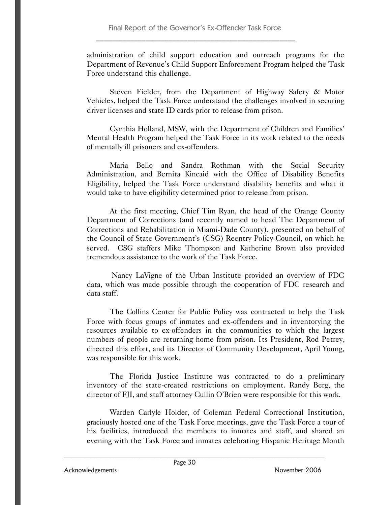administration of child support education and outreach programs for the Department of Revenue's Child Support Enforcement Program helped the Task Force understand this challenge.

Steven Fielder, from the Department of Highway Safety & Motor Vehicles, helped the Task Force understand the challenges involved in securing driver licenses and state ID cards prior to release from prison.

Cynthia Holland, MSW, with the Department of Children and Families' Mental Health Program helped the Task Force in its work related to the needs of mentally ill prisoners and ex-offenders.

Maria Bello and Sandra Rothman with the Social Security Administration, and Bernita Kincaid with the Office of Disability Benefits Eligibility, helped the Task Force understand disability benefits and what it would take to have eligibility determined prior to release from prison.

At the first meeting, Chief Tim Ryan, the head of the Orange County Department of Corrections (and recently named to head The Department of Corrections and Rehabilitation in Miami-Dade County), presented on behalf of the Council of State Government's (CSG) Reentry Policy Council, on which he served. CSG staffers Mike Thompson and Katherine Brown also provided tremendous assistance to the work of the Task Force.

Nancy LaVigne of the Urban Institute provided an overview of FDC data, which was made possible through the cooperation of FDC research and data staff.

The Collins Center for Public Policy was contracted to help the Task Force with focus groups of inmates and ex-offenders and in inventorying the resources available to ex-offenders in the communities to which the largest numbers of people are returning home from prison. Its President, Rod Petrey, directed this effort, and its Director of Community Development, April Young, was responsible for this work.

The Florida Justice Institute was contracted to do a preliminary inventory of the state-created restrictions on employment. Randy Berg, the director of FJI, and staff attorney Cullin O'Brien were responsible for this work.

Warden Carlyle Holder, of Coleman Federal Correctional Institution, graciously hosted one of the Task Force meetings, gave the Task Force a tour of his facilities, introduced the members to inmates and staff, and shared an evening with the Task Force and inmates celebrating Hispanic Heritage Month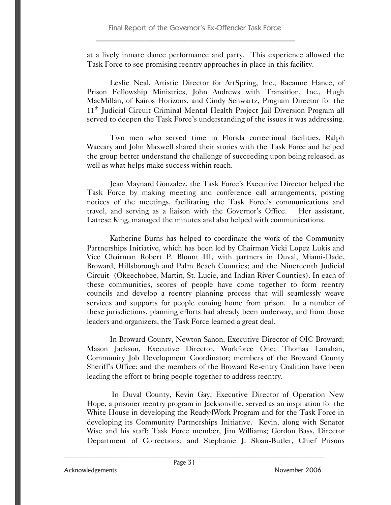at a lively inmate dance performance and party. This experience allowed the Task Force to see promising reentry approaches in place in this facility.

Leslie Neal, Artistic Director for ArtSpring, Inc., Raeanne Hance, of Prison Fellowship Ministries, John Andrews with Transition, Inc., Hugh MacMillan, of Kairos Horizons, and Cindy Schwartz, Program Director for the 11<sup>th</sup> Judicial Circuit Criminal Mental Health Project Jail Diversion Program all served to deepen the Task Force's understanding of the issues it was addressing.

Two men who served time in Florida correctional facilities, Ralph Waccary and John Maxwell shared their stories with the Task Force and helped the group better understand the challenge of succeeding upon being released, as well as what helps make success within reach.

Jean Maynard Gonzalez, the Task Force's Executive Director helped the Task Force by making meeting and conference call arrangements, posting notices of the meetings, facilitating the Task Force's communications and travel, and serving as a liaison with the Governor's Office. Her assistant, Latrese King, managed the minutes and also helped with communications.

Katherine Burns has helped to coordinate the work of the Community Partnerships Initiative, which has been led by Chairman Vicki Lopez Lukis and Vice Chairman Robert P. Blount III, with partners in Duval, Miami-Dade, Broward, Hillsborough and Palm Beach Counties; and the Nineteenth Judicial Circuit (Okeechobee, Martin, St. Lucie, and Indian River Counties). In each of these communities, scores of people have come together to form reentry councils and develop a reentry planning process that will seamlessly weave services and supports for people coming home from prison. In a number of these jurisdictions, planning efforts had already been underway, and from those leaders and organizers, the Task Force learned a great deal.

In Broward County, Newton Sanon, Executive Director of OIC Broward; Mason Jackson, Executive Director, Workforce One; Thomas Lanahan, Community Job Development Coordinator; members of the Broward County Sheriff's Office; and the members of the Broward Re-entry Coalition have been leading the effort to bring people together to address reentry.

In Duval County, Kevin Gay, Executive Director of Operation New Hope, a prisoner reentry program in Jacksonville, served as an inspiration for the White House in developing the Ready4Work Program and for the Task Force in developing its Community Partnerships Initiative. Kevin, along with Senator Wise and his staff; Task Force member, Jim Williams; Gordon Bass, Director Department of Corrections; and Stephanie J. Sloan-Butler, Chief Prisons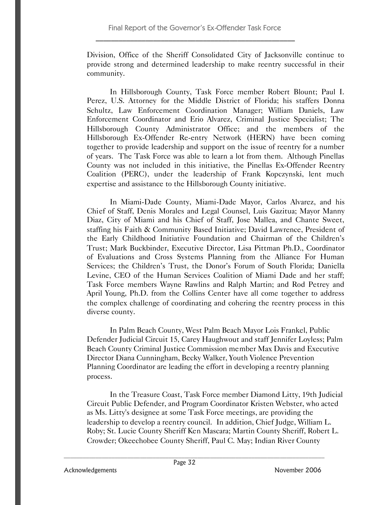Division, Office of the Sheriff Consolidated City of Jacksonville continue to provide strong and determined leadership to make reentry successful in their community.

In Hillsborough County, Task Force member Robert Blount; Paul I. Perez, U.S. Attorney for the Middle District of Florida; his staffers Donna Schultz, Law Enforcement Coordination Manager; William Daniels, Law Enforcement Coordinator and Erio Alvarez, Criminal Justice Specialist; The Hillsborough County Administrator Office; and the members of the Hillsborough Ex-Offender Re-entry Network (HERN) have been coming together to provide leadership and support on the issue of reentry for a number of years. The Task Force was able to learn a lot from them. Although Pinellas County was not included in this initiative, the Pinellas Ex-Offender Reentry Coalition (PERC), under the leadership of Frank Kopczynski, lent much expertise and assistance to the Hillsborough County initiative.

In Miami-Dade County, Miami-Dade Mayor, Carlos Alvarez, and his Chief of Staff, Denis Morales and Legal Counsel, Luis Gazitua; Mayor Manny Diaz, City of Miami and his Chief of Staff, Jose Mallea, and Chante Sweet, staffing his Faith & Community Based Initiative; David Lawrence, President of the Early Childhood Initiative Foundation and Chairman of the Children's Trust; Mark Buckbinder, Executive Director, Lisa Pittman Ph.D., Coordinator of Evaluations and Cross Systems Planning from the Alliance For Human Services; the Children's Trust, the Donor's Forum of South Florida; Daniella Levine, CEO of the Human Services Coalition of Miami Dade and her staff; Task Force members Wayne Rawlins and Ralph Martin; and Rod Petrey and April Young, Ph.D. from the Collins Center have all come together to address the complex challenge of coordinating and cohering the reentry process in this diverse county.

In Palm Beach County, West Palm Beach Mayor Lois Frankel, Public Defender Judicial Circuit 15, Carey Haughwout and staff Jennifer Loyless; Palm Beach County Criminal Justice Commission member Max Davis and Executive Director Diana Cunningham, Becky Walker, Youth Violence Prevention Planning Coordinator are leading the effort in developing a reentry planning process.

In the Treasure Coast, Task Force member Diamond Litty, 19th Judicial Circuit Public Defender, and Program Coordinator Kristen Webster, who acted as Ms. Litty's designee at some Task Force meetings, are providing the leadership to develop a reentry council. In addition, Chief Judge, William L. Roby; St. Lucie County Sheriff Ken Mascara; Martin County Sheriff, Robert L. Crowder; Okeechobee County Sheriff, Paul C. May; Indian River County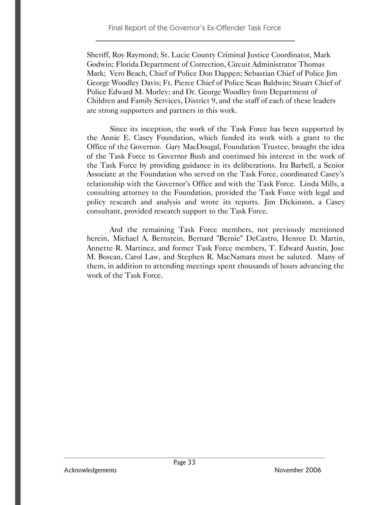Sheriff, Roy Raymond; St. Lucie County Criminal Justice Coordinator, Mark Godwin; Florida Department of Correction, Circuit Administrator Thomas Mark; Vero Beach, Chief of Police Don Dappen; Sebastian Chief of Police Jim George Woodley Davis; Ft. Pierce Chief of Police Sean Baldwin; Stuart Chief of Police Edward M. Morley; and Dr. George Woodley from Department of Children and Family Services, District 9, and the staff of each of these leaders are strong supporters and partners in this work.

Since its inception, the work of the Task Force has been supported by the Annie E. Casey Foundation, which funded its work with a grant to the Office of the Governor. Gary MacDougal, Foundation Trustee, brought the idea of the Task Force to Governor Bush and continued his interest in the work of the Task Force by providing guidance in its deliberations. Ira Barbell, a Senior Associate at the Foundation who served on the Task Force, coordinated Casey's relationship with the Governor's Office and with the Task Force. Linda Mills, a consulting attorney to the Foundation, provided the Task Force with legal and policy research and analysis and wrote its reports. Jim Dickinson, a Casey consultant, provided research support to the Task Force.

And the remaining Task Force members, not previously mentioned herein, Michael A. Bernstein, Bernard "Bernie" DeCastro, Henree D. Martin, Annette R. Martinez, and former Task Force members, T. Edward Austin, Jose M. Boscan, Carol Law, and Stephen R. MacNamara must be saluted. Many of them, in addition to attending meetings spent thousands of hours advancing the work of the Task Force.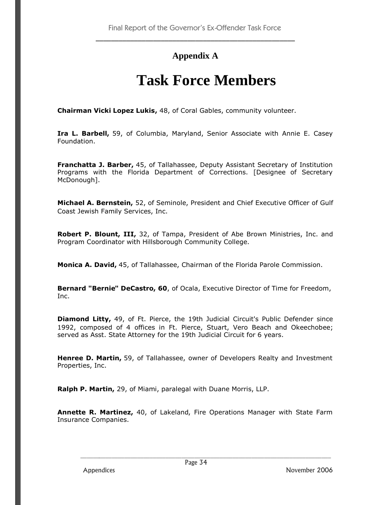## **Appendix A**

## **Task Force Members**

**Chairman Vicki Lopez Lukis,** 48, of Coral Gables, community volunteer.

**Ira L. Barbell,** 59, of Columbia, Maryland, Senior Associate with Annie E. Casey Foundation.

**Franchatta J. Barber,** 45, of Tallahassee, Deputy Assistant Secretary of Institution Programs with the Florida Department of Corrections. [Designee of Secretary McDonough].

**Michael A. Bernstein,** 52, of Seminole, President and Chief Executive Officer of Gulf Coast Jewish Family Services, Inc.

**Robert P. Blount, III,** 32, of Tampa, President of Abe Brown Ministries, Inc. and Program Coordinator with Hillsborough Community College.

**Monica A. David,** 45, of Tallahassee, Chairman of the Florida Parole Commission.

**Bernard "Bernie" DeCastro, 60**, of Ocala, Executive Director of Time for Freedom, Inc.

**Diamond Litty,** 49, of Ft. Pierce, the 19th Judicial Circuit's Public Defender since 1992, composed of 4 offices in Ft. Pierce, Stuart, Vero Beach and Okeechobee; served as Asst. State Attorney for the 19th Judicial Circuit for 6 years.

**Henree D. Martin,** 59, of Tallahassee, owner of Developers Realty and Investment Properties, Inc.

**Ralph P. Martin,** 29, of Miami, paralegal with Duane Morris, LLP.

**Annette R. Martinez,** 40, of Lakeland, Fire Operations Manager with State Farm Insurance Companies.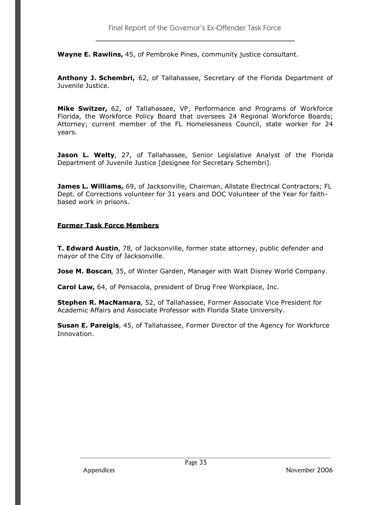**Wayne E. Rawlins,** 45, of Pembroke Pines, community justice consultant.

**Anthony J. Schembri,** 62, of Tallahassee, Secretary of the Florida Department of Juvenile Justice.

**Mike Switzer,** 62, of Tallahassee, VP, Performance and Programs of Workforce Florida, the Workforce Policy Board that oversees 24 Regional Workforce Boards; Attorney; current member of the FL Homelessness Council, state worker for 24 years.

Jason L. Welty, 27, of Tallahassee, Senior Legislative Analyst of the Florida Department of Juvenile Justice [designee for Secretary Schembri].

**James L. Williams,** 69, of Jacksonville, Chairman, Allstate Electrical Contractors; FL Dept. of Corrections volunteer for 31 years and DOC Volunteer of the Year for faithbased work in prisons.

#### **Former Task Force Members**

**T. Edward Austin**, 78, of Jacksonville, former state attorney, public defender and mayor of the City of Jacksonville.

**Jose M. Boscan**, 35, of Winter Garden, Manager with Walt Disney World Company.

**Carol Law,** 64, of Pensacola, president of Drug Free Workplace, Inc.

**Stephen R. MacNamara**, 52, of Tallahassee, Former Associate Vice President for Academic Affairs and Associate Professor with Florida State University.

**Susan E. Pareigis**, 45, of Tallahassee, Former Director of the Agency for Workforce Innovation.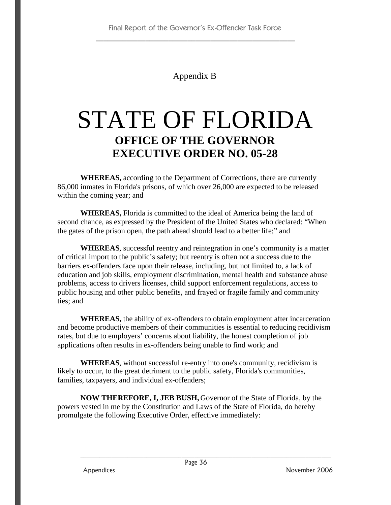## Appendix B

# STATE OF FLORIDA **OFFICE OF THE GOVERNOR EXECUTIVE ORDER NO. 05-28**

**WHEREAS,** according to the Department of Corrections, there are currently 86,000 inmates in Florida's prisons, of which over 26,000 are expected to be released within the coming year; and

**WHEREAS,** Florida is committed to the ideal of America being the land of second chance, as expressed by the President of the United States who declared: "When the gates of the prison open, the path ahead should lead to a better life;" and

**WHEREAS**, successful reentry and reintegration in one's community is a matter of critical import to the public's safety; but reentry is often not a success due to the barriers ex-offenders face upon their release, including, but not limited to, a lack of education and job skills, employment discrimination, mental health and substance abuse problems, access to drivers licenses, child support enforcement regulations, access to public housing and other public benefits, and frayed or fragile family and community ties; and

**WHEREAS,** the ability of ex-offenders to obtain employment after incarceration and become productive members of their communities is essential to reducing recidivism rates, but due to employers' concerns about liability, the honest completion of job applications often results in ex-offenders being unable to find work; and

**WHEREAS**, without successful re-entry into one's community, recidivism is likely to occur, to the great detriment to the public safety, Florida's communities, families, taxpayers, and individual ex-offenders;

**NOW THEREFORE, I, JEB BUSH,** Governor of the State of Florida, by the powers vested in me by the Constitution and Laws of the State of Florida, do hereby promulgate the following Executive Order, effective immediately: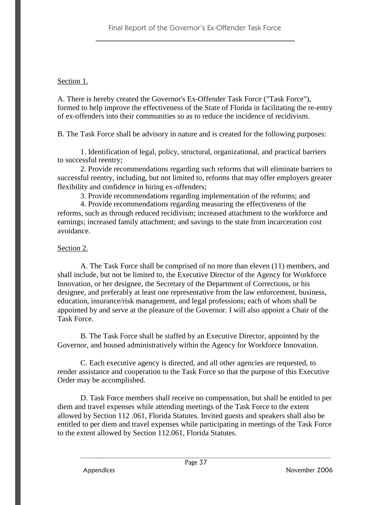### Section 1.

A. There is hereby created the Governor's Ex-Offender Task Force ("Task Force"), formed to help improve the effectiveness of the State of Florida in facilitating the re-entry of ex-offenders into their communities so as to reduce the incidence of recidivism.

B. The Task Force shall be advisory in nature and is created for the following purposes:

1. Identification of legal, policy, structural, organizational, and practical barriers to successful reentry;

2. Provide recommendations regarding such reforms that will eliminate barriers to successful reentry, including, but not limited to, reforms that may offer employers greater flexibility and confidence in hiring ex-offenders;

3. Provide recommendations regarding implementation of the reforms; and

4. Provide recommendations regarding measuring the effectiveness of the reforms, such as through reduced recidivism; increased attachment to the workforce and earnings; increased family attachment; and savings to the state from incarceration cost avoidance.

### Section 2.

A. The Task Force shall be comprised of no more than eleven (11) members, and shall include, but not be limited to, the Executive Director of the Agency for Workforce Innovation, or her designee, the Secretary of the Department of Corrections, or his designee, and preferably at least one representative from the law enforcement, business, education, insurance/risk management, and legal professions; each of whom shall be appointed by and serve at the pleasure of the Governor. I will also appoint a Chair of the Task Force.

B. The Task Force shall be staffed by an Executive Director, appointed by the Governor, and housed administratively within the Agency for Workforce Innovation.

C. Each executive agency is directed, and all other agencies are requested, to render assistance and cooperation to the Task Force so that the purpose of this Executive Order may be accomplished.

D. Task Force members shall receive no compensation, but shall be entitled to per diem and travel expenses while attending meetings of the Task Force to the extent allowed by Section 112 .061, Florida Statutes. Invited guests and speakers shall also be entitled to per diem and travel expenses while participating in meetings of the Task Force to the extent allowed by Section 112.061, Florida Statutes.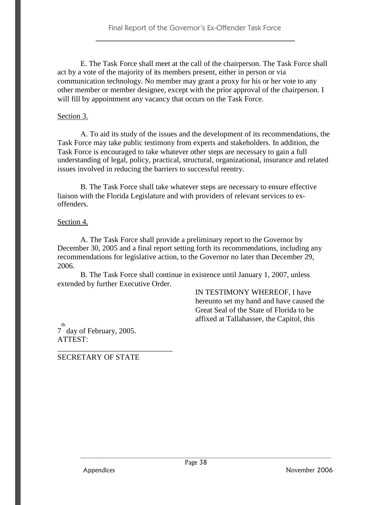E. The Task Force shall meet at the call of the chairperson. The Task Force shall act by a vote of the majority of its members present, either in person or via communication technology. No member may grant a proxy for his or her vote to any other member or member designee, except with the prior approval of the chairperson. I will fill by appointment any vacancy that occurs on the Task Force.

### Section 3.

A. To aid its study of the issues and the development of its recommendations, the Task Force may take public testimony from experts and stakeholders. In addition, the Task Force is encouraged to take whatever other steps are necessary to gain a full understanding of legal, policy, practical, structural, organizational, insurance and related issues involved in reducing the barriers to successful reentry.

B. The Task Force shall take whatever steps are necessary to ensure effective liaison with the Florida Legislature and with providers of relevant services to exoffenders.

### Section 4.

A. The Task Force shall provide a preliminary report to the Governor by December 30, 2005 and a final report setting forth its recommendations, including any recommendations for legislative action, to the Governor no later than December 29, 2006.

B. The Task Force shall continue in existence until January 1, 2007, unless extended by further Executive Order.

> IN TESTIMONY WHEREOF, I have hereunto set my hand and have caused the Great Seal of the State of Florida to be affixed at Tallahassee, the Capitol, this

th<br>7 day of February, 2005. ATTEST:

SECRETARY OF STATE

\_\_\_\_\_\_\_\_\_\_\_\_\_\_\_\_\_\_\_\_\_\_\_\_\_\_\_\_\_\_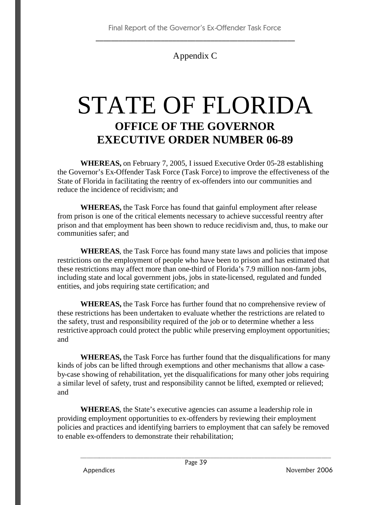## Appendix C

# STATE OF FLORIDA **OFFICE OF THE GOVERNOR EXECUTIVE ORDER NUMBER 06-89**

**WHEREAS,** on February 7, 2005, I issued Executive Order 05-28 establishing the Governor's Ex-Offender Task Force (Task Force) to improve the effectiveness of the State of Florida in facilitating the reentry of ex-offenders into our communities and reduce the incidence of recidivism; and

**WHEREAS,** the Task Force has found that gainful employment after release from prison is one of the critical elements necessary to achieve successful reentry after prison and that employment has been shown to reduce recidivism and, thus, to make our communities safer; and

**WHEREAS**, the Task Force has found many state laws and policies that impose restrictions on the employment of people who have been to prison and has estimated that these restrictions may affect more than one-third of Florida's 7.9 million non-farm jobs, including state and local government jobs, jobs in state-licensed, regulated and funded entities, and jobs requiring state certification; and

**WHEREAS,** the Task Force has further found that no comprehensive review of these restrictions has been undertaken to evaluate whether the restrictions are related to the safety, trust and responsibility required of the job or to determine whether a less restrictive approach could protect the public while preserving employment opportunities; and

**WHEREAS,** the Task Force has further found that the disqualifications for many kinds of jobs can be lifted through exemptions and other mechanisms that allow a caseby-case showing of rehabilitation, yet the disqualifications for many other jobs requiring a similar level of safety, trust and responsibility cannot be lifted, exempted or relieved; and

**WHEREAS**, the State's executive agencies can assume a leadership role in providing employment opportunities to ex-offenders by reviewing their employment policies and practices and identifying barriers to employment that can safely be removed to enable ex-offenders to demonstrate their rehabilitation;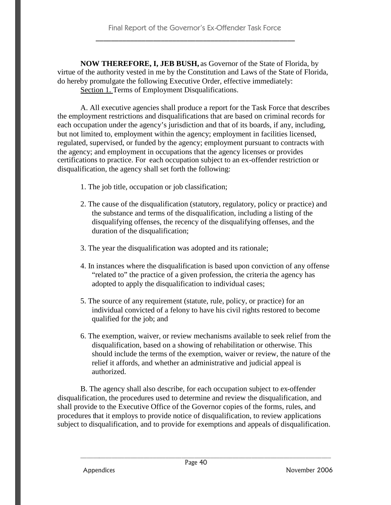**NOW THEREFORE, I, JEB BUSH,** as Governor of the State of Florida, by virtue of the authority vested in me by the Constitution and Laws of the State of Florida, do hereby promulgate the following Executive Order, effective immediately: Section 1. Terms of Employment Disqualifications.

A. All executive agencies shall produce a report for the Task Force that describes the employment restrictions and disqualifications that are based on criminal records for each occupation under the agency's jurisdiction and that of its boards, if any, including, but not limited to, employment within the agency; employment in facilities licensed, regulated, supervised, or funded by the agency; employment pursuant to contracts with the agency; and employment in occupations that the agency licenses or provides certifications to practice. For each occupation subject to an ex-offender restriction or disqualification, the agency shall set forth the following:

- 1. The job title, occupation or job classification;
- 2. The cause of the disqualification (statutory, regulatory, policy or practice) and the substance and terms of the disqualification, including a listing of the disqualifying offenses, the recency of the disqualifying offenses, and the duration of the disqualification;
- 3. The year the disqualification was adopted and its rationale;
- 4. In instances where the disqualification is based upon conviction of any offense "related to" the practice of a given profession, the criteria the agency has adopted to apply the disqualification to individual cases;
- 5. The source of any requirement (statute, rule, policy, or practice) for an individual convicted of a felony to have his civil rights restored to become qualified for the job; and
- 6. The exemption, waiver, or review mechanisms available to seek relief from the disqualification, based on a showing of rehabilitation or otherwise. This should include the terms of the exemption, waiver or review, the nature of the relief it affords, and whether an administrative and judicial appeal is authorized.

B. The agency shall also describe, for each occupation subject to ex-offender disqualification, the procedures used to determine and review the disqualification, and shall provide to the Executive Office of the Governor copies of the forms, rules, and procedures that it employs to provide notice of disqualification, to review applications subject to disqualification, and to provide for exemptions and appeals of disqualification.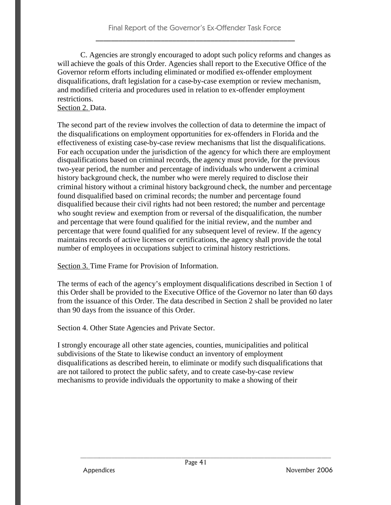C. Agencies are strongly encouraged to adopt such policy reforms and changes as will achieve the goals of this Order. Agencies shall report to the Executive Office of the Governor reform efforts including eliminated or modified ex-offender employment disqualifications, draft legislation for a case-by-case exemption or review mechanism, and modified criteria and procedures used in relation to ex-offender employment restrictions.

### Section 2. Data.

The second part of the review involves the collection of data to determine the impact of the disqualifications on employment opportunities for ex-offenders in Florida and the effectiveness of existing case-by-case review mechanisms that list the disqualifications. For each occupation under the jurisdiction of the agency for which there are employment disqualifications based on criminal records, the agency must provide, for the previous two-year period, the number and percentage of individuals who underwent a criminal history background check, the number who were merely required to disclose their criminal history without a criminal history background check, the number and percentage found disqualified based on criminal records; the number and percentage found disqualified because their civil rights had not been restored; the number and percentage who sought review and exemption from or reversal of the disqualification, the number and percentage that were found qualified for the initial review, and the number and percentage that were found qualified for any subsequent level of review. If the agency maintains records of active licenses or certifications, the agency shall provide the total number of employees in occupations subject to criminal history restrictions.

Section 3. Time Frame for Provision of Information.

The terms of each of the agency's employment disqualifications described in Section 1 of this Order shall be provided to the Executive Office of the Governor no later than 60 days from the issuance of this Order. The data described in Section 2 shall be provided no later than 90 days from the issuance of this Order.

Section 4. Other State Agencies and Private Sector.

I strongly encourage all other state agencies, counties, municipalities and political subdivisions of the State to likewise conduct an inventory of employment disqualifications as described herein, to eliminate or modify such disqualifications that are not tailored to protect the public safety, and to create case-by-case review mechanisms to provide individuals the opportunity to make a showing of their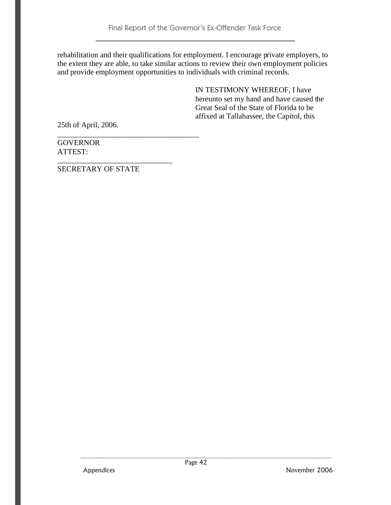rehabilitation and their qualifications for employment. I encourage private employers, to the extent they are able, to take similar actions to review their own employment policies and provide employment opportunities to individuals with criminal records.

> IN TESTIMONY WHEREOF, I have hereunto set my hand and have caused the Great Seal of the State of Florida to be affixed at Tallahassee, the Capitol, this

25th of April, 2006.

**GOVERNOR** ATTEST:

SECRETARY OF STATE

\_\_\_\_\_\_\_\_\_\_\_\_\_\_\_\_\_\_\_\_\_\_\_\_\_\_\_\_\_\_

\_\_\_\_\_\_\_\_\_\_\_\_\_\_\_\_\_\_\_\_\_\_\_\_\_\_\_\_\_\_\_\_\_\_\_\_\_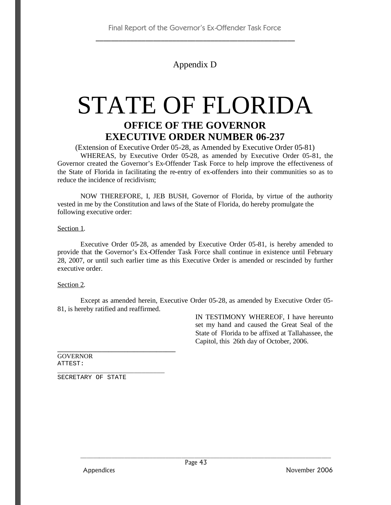## Appendix D

## STATE OF FLORIDA **OFFICE OF THE GOVERNOR EXECUTIVE ORDER NUMBER 06-237**

(Extension of Executive Order 05-28, as Amended by Executive Order 05-81) WHEREAS, by Executive Order 05-28, as amended by Executive Order 05-81, the Governor created the Governor's Ex-Offender Task Force to help improve the effectiveness of the State of Florida in facilitating the re-entry of ex-offenders into their communities so as to reduce the incidence of recidivism;

NOW THEREFORE, I, JEB BUSH, Governor of Florida, by virtue of the authority vested in me by the Constitution and laws of the State of Florida, do hereby promulgate the following executive order:

Section 1.

Executive Order 05-28, as amended by Executive Order 05-81, is hereby amended to provide that the Governor's Ex-Offender Task Force shall continue in existence until February 28, 2007, or until such earlier time as this Executive Order is amended or rescinded by further executive order.

#### Section 2.

Except as amended herein, Executive Order 05-28, as amended by Executive Order 05- 81, is hereby ratified and reaffirmed.

> IN TESTIMONY WHEREOF, I have hereunto set my hand and caused the Great Seal of the State of Florida to be affixed at Tallahassee, the Capitol, this 26th day of October, 2006.

GOVERNOR ATTEST:

\_\_\_\_\_\_\_\_\_\_\_\_\_\_\_\_\_\_\_\_\_\_\_\_\_\_\_\_ SECRETARY OF STATE

**\_\_\_\_\_\_\_\_\_\_\_\_\_\_\_\_\_\_\_\_\_\_\_\_\_\_\_\_\_\_\_\_\_\_\_\_\_**